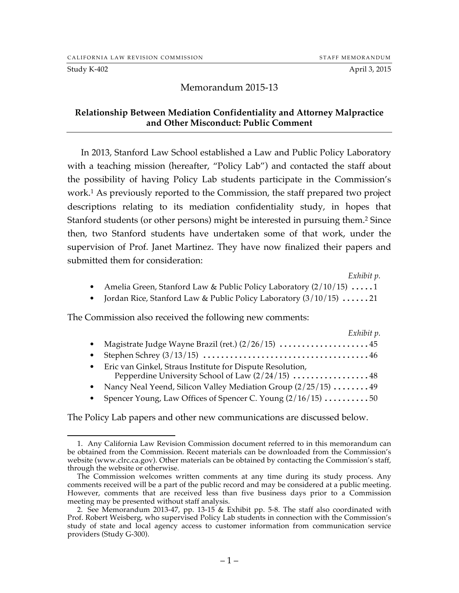#### Study K-402 April 3, 2015

# Memorandum 2015-13

## **Relationship Between Mediation Confidentiality and Attorney Malpractice and Other Misconduct: Public Comment**

In 2013, Stanford Law School established a Law and Public Policy Laboratory with a teaching mission (hereafter, "Policy Lab") and contacted the staff about the possibility of having Policy Lab students participate in the Commission's work.1 As previously reported to the Commission, the staff prepared two project descriptions relating to its mediation confidentiality study, in hopes that Stanford students (or other persons) might be interested in pursuing them.2 Since then, two Stanford students have undertaken some of that work, under the supervision of Prof. Janet Martinez. They have now finalized their papers and submitted them for consideration:

*Exhibit p.*

- Amelia Green, Stanford Law & Public Policy Laboratory (2/10/15) .....1
- Jordan Rice, Stanford Law & Public Policy Laboratory (3/10/15) ......21

The Commission also received the following new comments:

| Exhibit p.                                                                                                     |  |
|----------------------------------------------------------------------------------------------------------------|--|
|                                                                                                                |  |
|                                                                                                                |  |
| Eric van Ginkel, Straus Institute for Dispute Resolution,<br>Pepperdine University School of Law (2/24/15)  48 |  |
| • Nancy Neal Yeend, Silicon Valley Mediation Group $(2/25/15)$ 49                                              |  |
| Spencer Young, Law Offices of Spencer C. Young (2/16/15) 50                                                    |  |

The Policy Lab papers and other new communications are discussed below.

 <sup>1.</sup> Any California Law Revision Commission document referred to in this memorandum can be obtained from the Commission. Recent materials can be downloaded from the Commission's website (www.clrc.ca.gov). Other materials can be obtained by contacting the Commission's staff, through the website or otherwise.

The Commission welcomes written comments at any time during its study process. Any comments received will be a part of the public record and may be considered at a public meeting. However, comments that are received less than five business days prior to a Commission meeting may be presented without staff analysis.

<sup>2.</sup> See Memorandum 2013-47, pp. 13-15 & Exhibit pp. 5-8. The staff also coordinated with Prof. Robert Weisberg, who supervised Policy Lab students in connection with the Commission's study of state and local agency access to customer information from communication service providers (Study G-300).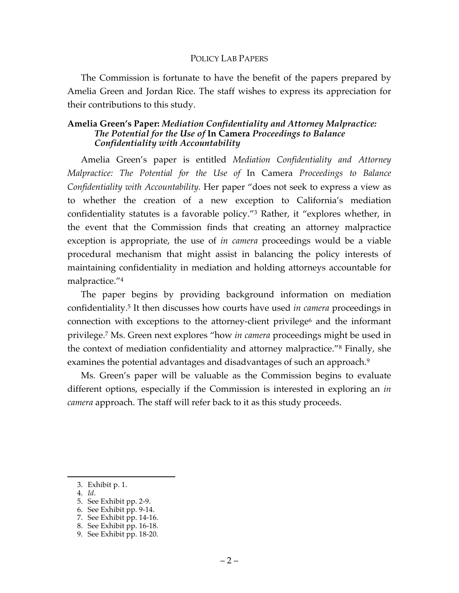### POLICY LAB PAPERS

The Commission is fortunate to have the benefit of the papers prepared by Amelia Green and Jordan Rice. The staff wishes to express its appreciation for their contributions to this study.

# **Amelia Green's Paper:** *Mediation Confidentiality and Attorney Malpractice: The Potential for the Use of* **In Camera** *Proceedings to Balance Confidentiality with Accountability*

Amelia Green's paper is entitled *Mediation Confidentiality and Attorney Malpractice: The Potential for the Use of* In Camera *Proceedings to Balance Confidentiality with Accountability.* Her paper "does not seek to express a view as to whether the creation of a new exception to California's mediation confidentiality statutes is a favorable policy."3 Rather, it "explores whether, in the event that the Commission finds that creating an attorney malpractice exception is appropriate, the use of *in camera* proceedings would be a viable procedural mechanism that might assist in balancing the policy interests of maintaining confidentiality in mediation and holding attorneys accountable for malpractice."4

The paper begins by providing background information on mediation confidentiality. <sup>5</sup> It then discusses how courts have used *in camera* proceedings in connection with exceptions to the attorney-client privilege<sup>6</sup> and the informant privilege.7 Ms. Green next explores "how *in camera* proceedings might be used in the context of mediation confidentiality and attorney malpractice."8 Finally, she examines the potential advantages and disadvantages of such an approach.<sup>9</sup>

Ms. Green's paper will be valuable as the Commission begins to evaluate different options, especially if the Commission is interested in exploring an *in camera* approach. The staff will refer back to it as this study proceeds.

- 4. *Id*.
- 5. See Exhibit pp. 2-9.
- 6. See Exhibit pp. 9-14.
- 7. See Exhibit pp. 14-16.
- 8. See Exhibit pp. 16-18.

 <sup>3.</sup> Exhibit p. 1.

<sup>9.</sup> See Exhibit pp. 18-20.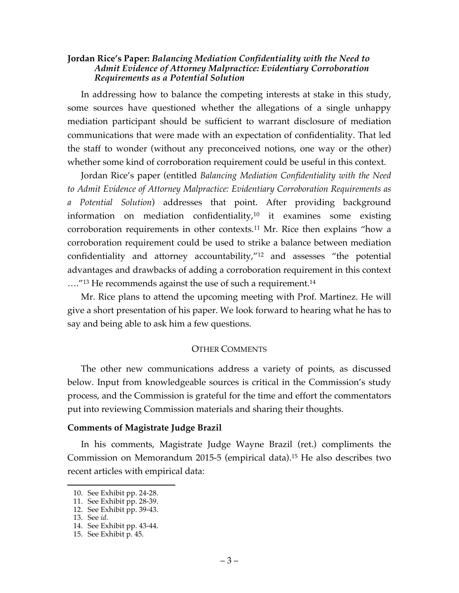# **Jordan Rice's Paper:** *Balancing Mediation Confidentiality with the Need to Admit Evidence of Attorney Malpractice: Evidentiary Corroboration Requirements as a Potential Solution*

In addressing how to balance the competing interests at stake in this study, some sources have questioned whether the allegations of a single unhappy mediation participant should be sufficient to warrant disclosure of mediation communications that were made with an expectation of confidentiality. That led the staff to wonder (without any preconceived notions, one way or the other) whether some kind of corroboration requirement could be useful in this context.

Jordan Rice's paper (entitled *Balancing Mediation Confidentiality with the Need to Admit Evidence of Attorney Malpractice: Evidentiary Corroboration Requirements as a Potential Solution*) addresses that point. After providing background information on mediation confidentiality, $10$  it examines some existing corroboration requirements in other contexts.11 Mr. Rice then explains "how a corroboration requirement could be used to strike a balance between mediation confidentiality and attorney accountability,"12 and assesses "the potential advantages and drawbacks of adding a corroboration requirement in this context ....<sup>"13</sup> He recommends against the use of such a requirement.<sup>14</sup>

Mr. Rice plans to attend the upcoming meeting with Prof. Martinez. He will give a short presentation of his paper. We look forward to hearing what he has to say and being able to ask him a few questions.

# OTHER COMMENTS

The other new communications address a variety of points, as discussed below. Input from knowledgeable sources is critical in the Commission's study process, and the Commission is grateful for the time and effort the commentators put into reviewing Commission materials and sharing their thoughts.

## **Comments of Magistrate Judge Brazil**

In his comments, Magistrate Judge Wayne Brazil (ret.) compliments the Commission on Memorandum 2015-5 (empirical data).15 He also describes two recent articles with empirical data:

 <sup>10.</sup> See Exhibit pp. 24-28.

<sup>11.</sup> See Exhibit pp. 28-39.

<sup>12.</sup> See Exhibit pp. 39-43.

<sup>13.</sup> See *id.*

<sup>14.</sup> See Exhibit pp. 43-44.

<sup>15.</sup> See Exhibit p. 45.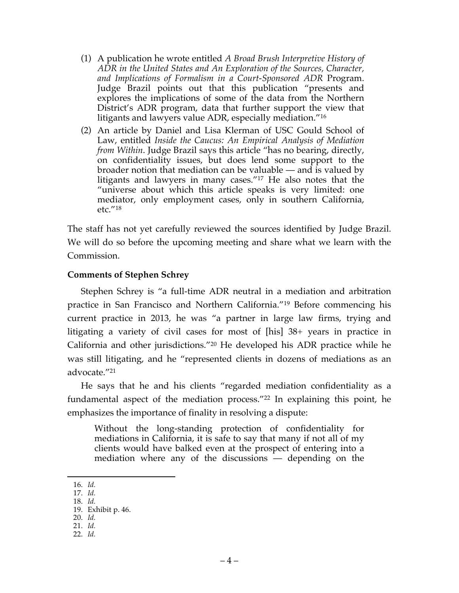- (1) A publication he wrote entitled *A Broad Brush Interpretive History of ADR in the United States and An Exploration of the Sources, Character, and Implications of Formalism in a Court-Sponsored ADR* Program. Judge Brazil points out that this publication "presents and explores the implications of some of the data from the Northern District's ADR program, data that further support the view that litigants and lawyers value ADR, especially mediation."16
- (2) An article by Daniel and Lisa Klerman of USC Gould School of Law, entitled *Inside the Caucus: An Empirical Analysis of Mediation from Within*. Judge Brazil says this article "has no bearing, directly, on confidentiality issues, but does lend some support to the broader notion that mediation can be valuable — and is valued by litigants and lawyers in many cases."17 He also notes that the "universe about which this article speaks is very limited: one mediator, only employment cases, only in southern California, etc."18

The staff has not yet carefully reviewed the sources identified by Judge Brazil. We will do so before the upcoming meeting and share what we learn with the Commission.

# **Comments of Stephen Schrey**

Stephen Schrey is "a full-time ADR neutral in a mediation and arbitration practice in San Francisco and Northern California."19 Before commencing his current practice in 2013, he was "a partner in large law firms, trying and litigating a variety of civil cases for most of [his] 38+ years in practice in California and other jurisdictions."20 He developed his ADR practice while he was still litigating, and he "represented clients in dozens of mediations as an advocate."21

He says that he and his clients "regarded mediation confidentiality as a fundamental aspect of the mediation process."22 In explaining this point, he emphasizes the importance of finality in resolving a dispute:

Without the long-standing protection of confidentiality for mediations in California, it is safe to say that many if not all of my clients would have balked even at the prospect of entering into a mediation where any of the discussions  $\frac{1}{x}$  depending on the

- 17. *Id.*
- 18. *Id.*
- 19. Exhibit p. 46. 20. *Id.*
- 21. *Id.*
- 22. *Id.*

 $-4-$ 

 <sup>16.</sup> *Id.*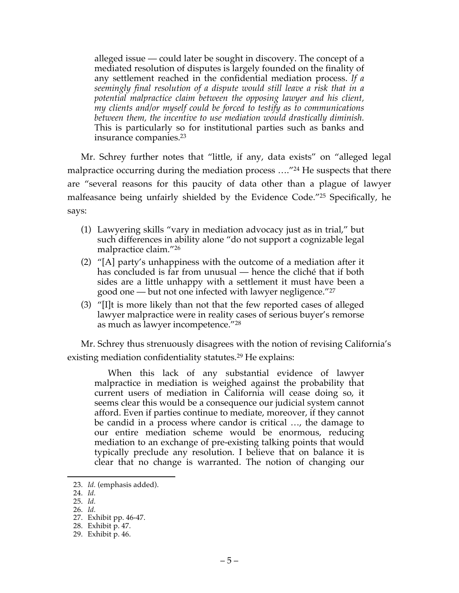alleged issue — could later be sought in discovery. The concept of a mediated resolution of disputes is largely founded on the finality of any settlement reached in the confidential mediation process. *If a seemingly final resolution of a dispute would still leave a risk that in a potential malpractice claim between the opposing lawyer and his client, my clients and/or myself could be forced to testify as to communications between them, the incentive to use mediation would drastically diminish.* This is particularly so for institutional parties such as banks and insurance companies.23

Mr. Schrey further notes that "little, if any, data exists" on "alleged legal malpractice occurring during the mediation process ...."<sup>24</sup> He suspects that there are "several reasons for this paucity of data other than a plague of lawyer malfeasance being unfairly shielded by the Evidence Code."25 Specifically, he says:

- (1) Lawyering skills "vary in mediation advocacy just as in trial," but such differences in ability alone "do not support a cognizable legal malpractice claim."26
- (2) "[A] party's unhappiness with the outcome of a mediation after it has concluded is far from unusual — hence the cliché that if both sides are a little unhappy with a settlement it must have been a good one — but not one infected with lawyer negligence."27
- (3) "[I]t is more likely than not that the few reported cases of alleged lawyer malpractice were in reality cases of serious buyer's remorse as much as lawyer incompetence."28

Mr. Schrey thus strenuously disagrees with the notion of revising California's existing mediation confidentiality statutes.<sup>29</sup> He explains:

When this lack of any substantial evidence of lawyer malpractice in mediation is weighed against the probability that current users of mediation in California will cease doing so, it seems clear this would be a consequence our judicial system cannot afford. Even if parties continue to mediate, moreover, if they cannot be candid in a process where candor is critical …, the damage to our entire mediation scheme would be enormous, reducing mediation to an exchange of pre-existing talking points that would typically preclude any resolution. I believe that on balance it is clear that no change is warranted. The notion of changing our

 <sup>23.</sup> *Id.* (emphasis added).

<sup>24.</sup> *Id.*

<sup>25.</sup> *Id.*

<sup>26.</sup> *Id.*

<sup>27.</sup> Exhibit pp. 46-47.

<sup>28.</sup> Exhibit p. 47.

<sup>29.</sup> Exhibit p. 46.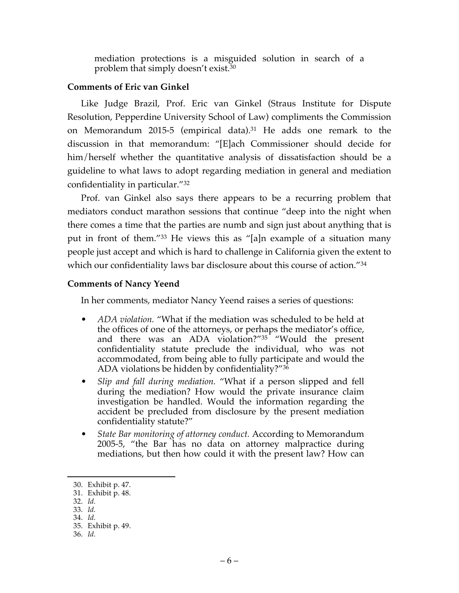mediation protections is a misguided solution in search of a problem that simply doesn't exist.<sup>30</sup>

# **Comments of Eric van Ginkel**

Like Judge Brazil, Prof. Eric van Ginkel (Straus Institute for Dispute Resolution, Pepperdine University School of Law) compliments the Commission on Memorandum 2015-5 (empirical data).<sup>31</sup> He adds one remark to the discussion in that memorandum: "[E]ach Commissioner should decide for him/herself whether the quantitative analysis of dissatisfaction should be a guideline to what laws to adopt regarding mediation in general and mediation confidentiality in particular."32

Prof. van Ginkel also says there appears to be a recurring problem that mediators conduct marathon sessions that continue "deep into the night when there comes a time that the parties are numb and sign just about anything that is put in front of them."33 He views this as "[a]n example of a situation many people just accept and which is hard to challenge in California given the extent to which our confidentiality laws bar disclosure about this course of action."34

# **Comments of Nancy Yeend**

In her comments, mediator Nancy Yeend raises a series of questions:

- *ADA violation.* "What if the mediation was scheduled to be held at the offices of one of the attorneys, or perhaps the mediator's office, and there was an ADA violation?"35 "Would the present confidentiality statute preclude the individual, who was not accommodated, from being able to fully participate and would the ADA violations be hidden by confidentiality?"36
- *Slip and fall during mediation.* "What if a person slipped and fell during the mediation? How would the private insurance claim investigation be handled. Would the information regarding the accident be precluded from disclosure by the present mediation confidentiality statute?"
- *State Bar monitoring of attorney conduct.* According to Memorandum 2005-5, "the Bar has no data on attorney malpractice during mediations, but then how could it with the present law? How can

 <sup>30.</sup> Exhibit p. 47.

<sup>31.</sup> Exhibit p. 48.

<sup>32.</sup> *Id.*

<sup>33.</sup> *Id.*

<sup>34.</sup> *Id.*

<sup>35.</sup> Exhibit p. 49.

<sup>36.</sup> *Id.*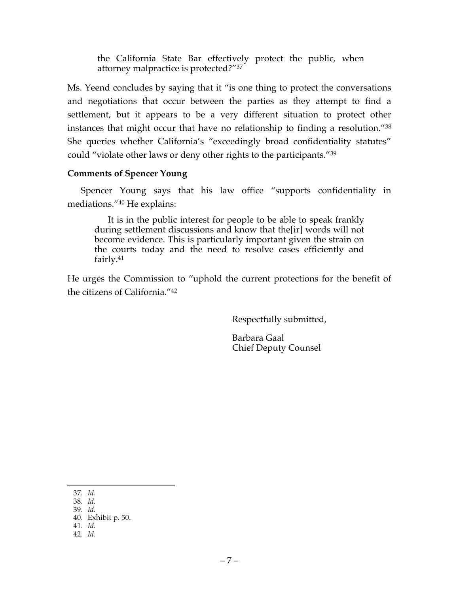the California State Bar effectively protect the public, when attorney malpractice is protected?"37

Ms. Yeend concludes by saying that it "is one thing to protect the conversations and negotiations that occur between the parties as they attempt to find a settlement, but it appears to be a very different situation to protect other instances that might occur that have no relationship to finding a resolution."38 She queries whether California's "exceedingly broad confidentiality statutes" could "violate other laws or deny other rights to the participants."39

# **Comments of Spencer Young**

Spencer Young says that his law office "supports confidentiality in mediations."40 He explains:

It is in the public interest for people to be able to speak frankly during settlement discussions and know that the[ir] words will not become evidence. This is particularly important given the strain on the courts today and the need to resolve cases efficiently and fairly.41

He urges the Commission to "uphold the current protections for the benefit of the citizens of California."42

Respectfully submitted,

Barbara Gaal Chief Deputy Counsel

 <sup>37.</sup> *Id.*

<sup>38.</sup> *Id.*

<sup>39.</sup> *Id.* 40. Exhibit p. 50.

<sup>41.</sup> *Id.*

<sup>42.</sup> *Id.*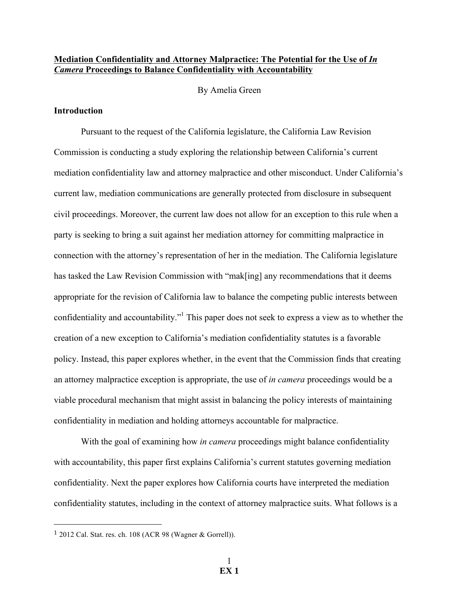### **Mediation Confidentiality and Attorney Malpractice: The Potential for the Use of** *In Camera* **Proceedings to Balance Confidentiality with Accountability**

By Amelia Green

### **Introduction**

Pursuant to the request of the California legislature, the California Law Revision Commission is conducting a study exploring the relationship between California's current mediation confidentiality law and attorney malpractice and other misconduct. Under California's current law, mediation communications are generally protected from disclosure in subsequent civil proceedings. Moreover, the current law does not allow for an exception to this rule when a party is seeking to bring a suit against her mediation attorney for committing malpractice in connection with the attorney's representation of her in the mediation. The California legislature has tasked the Law Revision Commission with "mak[ing] any recommendations that it deems appropriate for the revision of California law to balance the competing public interests between confidentiality and accountability."<sup>1</sup> This paper does not seek to express a view as to whether the creation of a new exception to California's mediation confidentiality statutes is a favorable policy. Instead, this paper explores whether, in the event that the Commission finds that creating an attorney malpractice exception is appropriate, the use of *in camera* proceedings would be a viable procedural mechanism that might assist in balancing the policy interests of maintaining confidentiality in mediation and holding attorneys accountable for malpractice.

With the goal of examining how *in camera* proceedings might balance confidentiality with accountability, this paper first explains California's current statutes governing mediation confidentiality. Next the paper explores how California courts have interpreted the mediation confidentiality statutes, including in the context of attorney malpractice suits. What follows is a

!!!!!!!!!!!!!!!!!!!!!!!!!!!!!!!!!!!!!!!!!!!!!!!!!!!!!!!

 $1$  2012 Cal. Stat. res. ch. 108 (ACR 98 (Wagner & Gorrell)).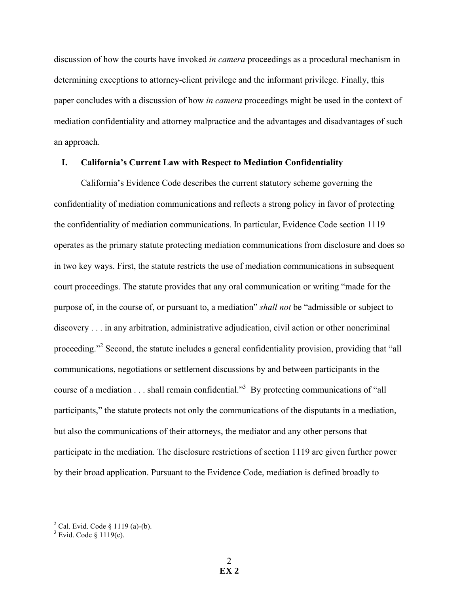discussion of how the courts have invoked *in camera* proceedings as a procedural mechanism in determining exceptions to attorney-client privilege and the informant privilege. Finally, this paper concludes with a discussion of how *in camera* proceedings might be used in the context of mediation confidentiality and attorney malpractice and the advantages and disadvantages of such an approach.

## **I. California's Current Law with Respect to Mediation Confidentiality**

California's Evidence Code describes the current statutory scheme governing the confidentiality of mediation communications and reflects a strong policy in favor of protecting the confidentiality of mediation communications. In particular, Evidence Code section 1119 operates as the primary statute protecting mediation communications from disclosure and does so in two key ways. First, the statute restricts the use of mediation communications in subsequent court proceedings. The statute provides that any oral communication or writing "made for the purpose of, in the course of, or pursuant to, a mediation" *shall not* be "admissible or subject to discovery . . . in any arbitration, administrative adjudication, civil action or other noncriminal proceeding."<sup>2</sup> Second, the statute includes a general confidentiality provision, providing that "all communications, negotiations or settlement discussions by and between participants in the course of a mediation . . . shall remain confidential."<sup>3</sup> By protecting communications of "all participants," the statute protects not only the communications of the disputants in a mediation, but also the communications of their attorneys, the mediator and any other persons that participate in the mediation. The disclosure restrictions of section 1119 are given further power by their broad application. Pursuant to the Evidence Code, mediation is defined broadly to

 $^2$  Cal. Evid. Code § 1119 (a)-(b).<br> $^3$  Evid. Code § 1119(c).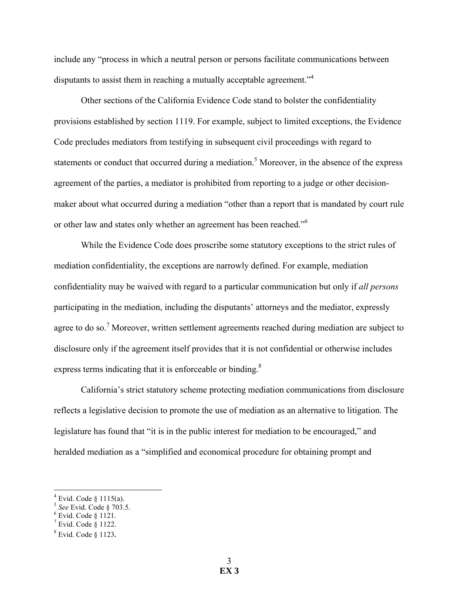include any "process in which a neutral person or persons facilitate communications between disputants to assist them in reaching a mutually acceptable agreement."4

Other sections of the California Evidence Code stand to bolster the confidentiality provisions established by section 1119. For example, subject to limited exceptions, the Evidence Code precludes mediators from testifying in subsequent civil proceedings with regard to statements or conduct that occurred during a mediation.<sup>5</sup> Moreover, in the absence of the express agreement of the parties, a mediator is prohibited from reporting to a judge or other decisionmaker about what occurred during a mediation "other than a report that is mandated by court rule or other law and states only whether an agreement has been reached."<sup>6</sup>

While the Evidence Code does proscribe some statutory exceptions to the strict rules of mediation confidentiality, the exceptions are narrowly defined. For example, mediation confidentiality may be waived with regard to a particular communication but only if *all persons* participating in the mediation, including the disputants' attorneys and the mediator, expressly agree to do so.<sup>7</sup> Moreover, written settlement agreements reached during mediation are subject to disclosure only if the agreement itself provides that it is not confidential or otherwise includes express terms indicating that it is enforceable or binding.<sup>8</sup>

California's strict statutory scheme protecting mediation communications from disclosure reflects a legislative decision to promote the use of mediation as an alternative to litigation. The legislature has found that "it is in the public interest for mediation to be encouraged," and heralded mediation as a "simplified and economical procedure for obtaining prompt and

<sup>!!!!!!!!!!!!!!!!!!!!!!!!!!!!!!!!!!!!!!!!!!!!!!!!!!!!!!!</sup> <sup>4</sup> Evid. Code § 1115(a). 5 *See* Evid. Code § 703.5. 6 Evid. Code § 1121.

 $^7$  Evid. Code § 1122.<br><sup>8</sup> Evid. Code § 1123.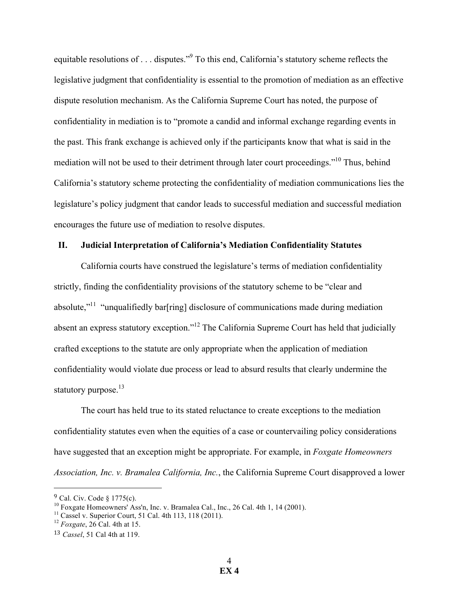equitable resolutions of . . . disputes."9 To this end, California's statutory scheme reflects the legislative judgment that confidentiality is essential to the promotion of mediation as an effective dispute resolution mechanism. As the California Supreme Court has noted, the purpose of confidentiality in mediation is to "promote a candid and informal exchange regarding events in the past. This frank exchange is achieved only if the participants know that what is said in the mediation will not be used to their detriment through later court proceedings."<sup>10</sup> Thus, behind California's statutory scheme protecting the confidentiality of mediation communications lies the legislature's policy judgment that candor leads to successful mediation and successful mediation encourages the future use of mediation to resolve disputes.

### **II. Judicial Interpretation of California's Mediation Confidentiality Statutes**

California courts have construed the legislature's terms of mediation confidentiality strictly, finding the confidentiality provisions of the statutory scheme to be "clear and absolute,"<sup>11</sup> "unqualifiedly bar[ring] disclosure of communications made during mediation absent an express statutory exception."<sup>12</sup> The California Supreme Court has held that judicially crafted exceptions to the statute are only appropriate when the application of mediation confidentiality would violate due process or lead to absurd results that clearly undermine the statutory purpose.<sup>13</sup>

The court has held true to its stated reluctance to create exceptions to the mediation confidentiality statutes even when the equities of a case or countervailing policy considerations have suggested that an exception might be appropriate. For example, in *Foxgate Homeowners Association, Inc. v. Bramalea California, Inc.*, the California Supreme Court disapproved a lower

!!!!!!!!!!!!!!!!!!!!!!!!!!!!!!!!!!!!!!!!!!!!!!!!!!!!!!!

<sup>9</sup> Cal. Civ. Code § 1775(c).

<sup>&</sup>lt;sup>10</sup> Foxgate Homeowners' Ass'n, Inc. v. Bramalea Cal., Inc., 26 Cal. 4th 1, 14 (2001).<br><sup>11</sup> Cassel v. Superior Court, 51 Cal. 4th 113, 118 (2011).<br><sup>12</sup> *Foxgate*, 26 Cal. 4th at 15.

<sup>13</sup> *Cassel*, 51 Cal 4th at 119.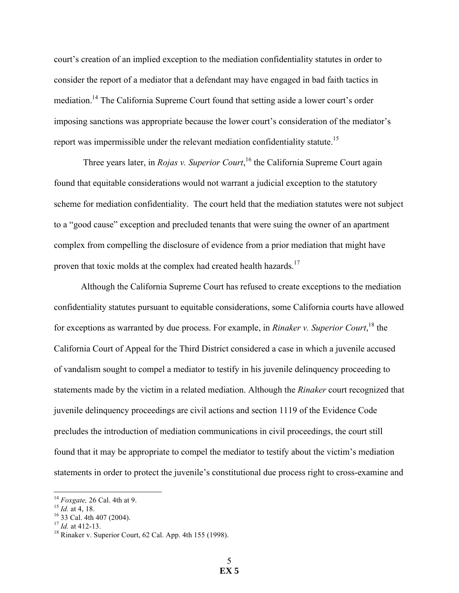court's creation of an implied exception to the mediation confidentiality statutes in order to consider the report of a mediator that a defendant may have engaged in bad faith tactics in mediation.14 The California Supreme Court found that setting aside a lower court's order imposing sanctions was appropriate because the lower court's consideration of the mediator's report was impermissible under the relevant mediation confidentiality statute.<sup>15</sup>

Three years later, in *Rojas v. Superior Court*, <sup>16</sup> the California Supreme Court again found that equitable considerations would not warrant a judicial exception to the statutory scheme for mediation confidentiality. The court held that the mediation statutes were not subject to a "good cause" exception and precluded tenants that were suing the owner of an apartment complex from compelling the disclosure of evidence from a prior mediation that might have proven that toxic molds at the complex had created health hazards.<sup>17</sup>

Although the California Supreme Court has refused to create exceptions to the mediation confidentiality statutes pursuant to equitable considerations, some California courts have allowed for exceptions as warranted by due process. For example, in *Rinaker v. Superior Court*, <sup>18</sup> the California Court of Appeal for the Third District considered a case in which a juvenile accused of vandalism sought to compel a mediator to testify in his juvenile delinquency proceeding to statements made by the victim in a related mediation. Although the *Rinaker* court recognized that juvenile delinquency proceedings are civil actions and section 1119 of the Evidence Code precludes the introduction of mediation communications in civil proceedings, the court still found that it may be appropriate to compel the mediator to testify about the victim's mediation statements in order to protect the juvenile's constitutional due process right to cross-examine and

<sup>&</sup>lt;sup>14</sup> *Foxgate,* 26 Cal. 4th at 9.<br><sup>15</sup> *Id.* at 4, 18.<br><sup>16</sup> 33 Cal. 4th 407 (2004).<br><sup>17</sup> *Id.* at 412-13.<br><sup>18</sup> Rinaker v. Superior Court, 62 Cal. App. 4th 155 (1998).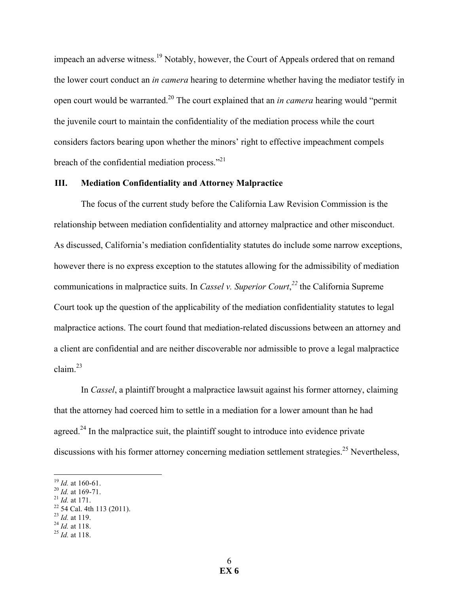impeach an adverse witness.<sup>19</sup> Notably, however, the Court of Appeals ordered that on remand the lower court conduct an *in camera* hearing to determine whether having the mediator testify in open court would be warranted.20 The court explained that an *in camera* hearing would "permit the juvenile court to maintain the confidentiality of the mediation process while the court considers factors bearing upon whether the minors' right to effective impeachment compels breach of the confidential mediation process."<sup>21</sup>

### **III. Mediation Confidentiality and Attorney Malpractice**

The focus of the current study before the California Law Revision Commission is the relationship between mediation confidentiality and attorney malpractice and other misconduct. As discussed, California's mediation confidentiality statutes do include some narrow exceptions, however there is no express exception to the statutes allowing for the admissibility of mediation communications in malpractice suits. In *Cassel v. Superior Court*, *<sup>22</sup>* the California Supreme Court took up the question of the applicability of the mediation confidentiality statutes to legal malpractice actions. The court found that mediation-related discussions between an attorney and a client are confidential and are neither discoverable nor admissible to prove a legal malpractice claim.<sup>23</sup>

In *Cassel*, a plaintiff brought a malpractice lawsuit against his former attorney, claiming that the attorney had coerced him to settle in a mediation for a lower amount than he had agreed.<sup>24</sup> In the malpractice suit, the plaintiff sought to introduce into evidence private discussions with his former attorney concerning mediation settlement strategies.<sup>25</sup> Nevertheless,

- 
- 
- <sup>19</sup> *Id.* at 160-61.<br><sup>20</sup> *Id.* at 169-71.<br><sup>21</sup> *Id.* at 171.<br><sup>22</sup> 54 Cal. 4th 113 (2011).<br><sup>23</sup> *Id.* at 118. <sup>25</sup> *Id.* at 118.
- 
-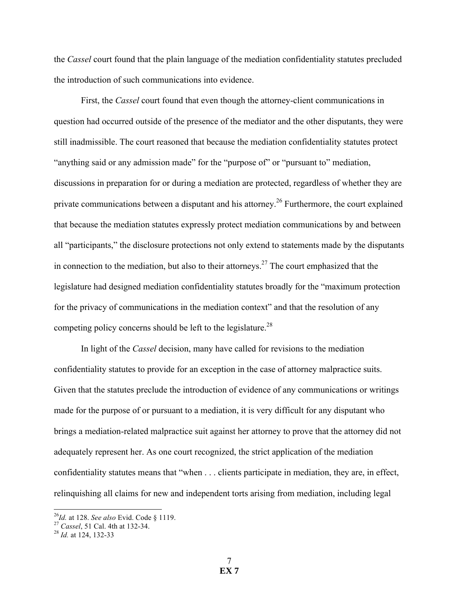the *Cassel* court found that the plain language of the mediation confidentiality statutes precluded the introduction of such communications into evidence.

First, the *Cassel* court found that even though the attorney-client communications in question had occurred outside of the presence of the mediator and the other disputants, they were still inadmissible. The court reasoned that because the mediation confidentiality statutes protect "anything said or any admission made" for the "purpose of" or "pursuant to" mediation, discussions in preparation for or during a mediation are protected, regardless of whether they are private communications between a disputant and his attorney.<sup>26</sup> Furthermore, the court explained that because the mediation statutes expressly protect mediation communications by and between all "participants," the disclosure protections not only extend to statements made by the disputants in connection to the mediation, but also to their attorneys.<sup>27</sup> The court emphasized that the legislature had designed mediation confidentiality statutes broadly for the "maximum protection for the privacy of communications in the mediation context" and that the resolution of any competing policy concerns should be left to the legislature.<sup>28</sup>

In light of the *Cassel* decision, many have called for revisions to the mediation confidentiality statutes to provide for an exception in the case of attorney malpractice suits. Given that the statutes preclude the introduction of evidence of any communications or writings made for the purpose of or pursuant to a mediation, it is very difficult for any disputant who brings a mediation-related malpractice suit against her attorney to prove that the attorney did not adequately represent her. As one court recognized, the strict application of the mediation confidentiality statutes means that "when . . . clients participate in mediation, they are, in effect, relinquishing all claims for new and independent torts arising from mediation, including legal

<sup>&</sup>lt;sup>26</sup>*Id.* at 128. *See also* Evid. Code § 1119.<br><sup>27</sup> *Cassel*, 51 Cal. 4th at 132-34. <sup>28</sup> *Id.* at 124, 132-33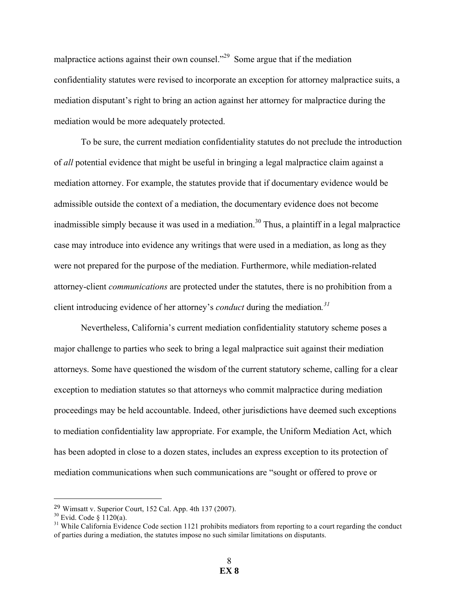malpractice actions against their own counsel."<sup>29</sup> Some argue that if the mediation confidentiality statutes were revised to incorporate an exception for attorney malpractice suits, a mediation disputant's right to bring an action against her attorney for malpractice during the mediation would be more adequately protected.

To be sure, the current mediation confidentiality statutes do not preclude the introduction of *all* potential evidence that might be useful in bringing a legal malpractice claim against a mediation attorney. For example, the statutes provide that if documentary evidence would be admissible outside the context of a mediation, the documentary evidence does not become inadmissible simply because it was used in a mediation.<sup>30</sup> Thus, a plaintiff in a legal malpractice case may introduce into evidence any writings that were used in a mediation, as long as they were not prepared for the purpose of the mediation. Furthermore, while mediation-related attorney-client *communications* are protected under the statutes, there is no prohibition from a client introducing evidence of her attorney's *conduct* during the mediation*. 31*

Nevertheless, California's current mediation confidentiality statutory scheme poses a major challenge to parties who seek to bring a legal malpractice suit against their mediation attorneys. Some have questioned the wisdom of the current statutory scheme, calling for a clear exception to mediation statutes so that attorneys who commit malpractice during mediation proceedings may be held accountable. Indeed, other jurisdictions have deemed such exceptions to mediation confidentiality law appropriate. For example, the Uniform Mediation Act, which has been adopted in close to a dozen states, includes an express exception to its protection of mediation communications when such communications are "sought or offered to prove or

!!!!!!!!!!!!!!!!!!!!!!!!!!!!!!!!!!!!!!!!!!!!!!!!!!!!!!!

<sup>29</sup> Wimsatt v. Superior Court, 152 Cal. App. 4th 137 (2007).

<sup>&</sup>lt;sup>30</sup> Evid. Code § 1120(a).<br><sup>31</sup> While California Evidence Code section 1121 prohibits mediators from reporting to a court regarding the conduct of parties during a mediation, the statutes impose no such similar limitations on disputants.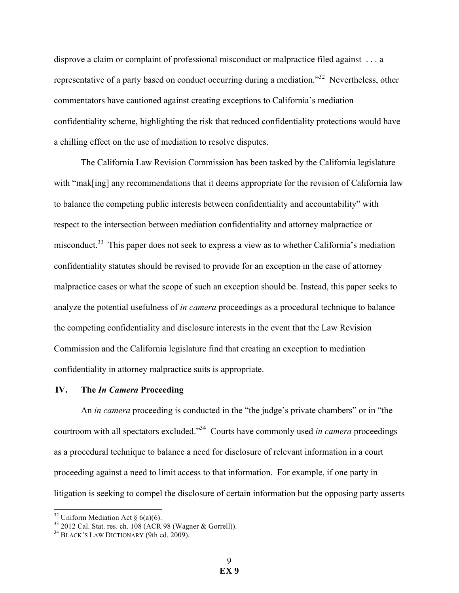disprove a claim or complaint of professional misconduct or malpractice filed against . . . a representative of a party based on conduct occurring during a mediation."32 Nevertheless, other commentators have cautioned against creating exceptions to California's mediation confidentiality scheme, highlighting the risk that reduced confidentiality protections would have a chilling effect on the use of mediation to resolve disputes.

The California Law Revision Commission has been tasked by the California legislature with "mak[ing] any recommendations that it deems appropriate for the revision of California law to balance the competing public interests between confidentiality and accountability" with respect to the intersection between mediation confidentiality and attorney malpractice or misconduct.<sup>33</sup> This paper does not seek to express a view as to whether California's mediation confidentiality statutes should be revised to provide for an exception in the case of attorney malpractice cases or what the scope of such an exception should be. Instead, this paper seeks to analyze the potential usefulness of *in camera* proceedings as a procedural technique to balance the competing confidentiality and disclosure interests in the event that the Law Revision Commission and the California legislature find that creating an exception to mediation confidentiality in attorney malpractice suits is appropriate.

#### **IV. The** *In Camera* **Proceeding**

An *in camera* proceeding is conducted in the "the judge's private chambers" or in "the courtroom with all spectators excluded."34 Courts have commonly used *in camera* proceedings as a procedural technique to balance a need for disclosure of relevant information in a court proceeding against a need to limit access to that information. For example, if one party in litigation is seeking to compel the disclosure of certain information but the opposing party asserts

<sup>&</sup>lt;sup>32</sup> Uniform Mediation Act § 6(a)(6).<br><sup>33</sup> 2012 Cal. Stat. res. ch. 108 (ACR 98 (Wagner & Gorrell)). <sup>34</sup> BLACK'S LAW DICTIONARY (9th ed. 2009).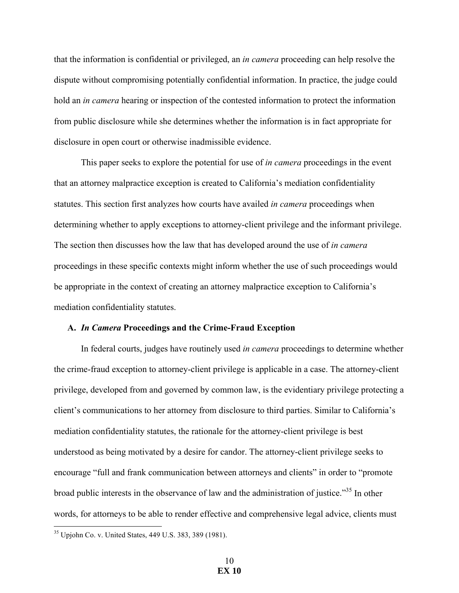that the information is confidential or privileged, an *in camera* proceeding can help resolve the dispute without compromising potentially confidential information. In practice, the judge could hold an *in camera* hearing or inspection of the contested information to protect the information from public disclosure while she determines whether the information is in fact appropriate for disclosure in open court or otherwise inadmissible evidence.

This paper seeks to explore the potential for use of *in camera* proceedings in the event that an attorney malpractice exception is created to California's mediation confidentiality statutes. This section first analyzes how courts have availed *in camera* proceedings when determining whether to apply exceptions to attorney-client privilege and the informant privilege. The section then discusses how the law that has developed around the use of *in camera*  proceedings in these specific contexts might inform whether the use of such proceedings would be appropriate in the context of creating an attorney malpractice exception to California's mediation confidentiality statutes.

#### **A.** *In Camera* **Proceedings and the Crime-Fraud Exception**

In federal courts, judges have routinely used *in camera* proceedings to determine whether the crime-fraud exception to attorney-client privilege is applicable in a case. The attorney-client privilege, developed from and governed by common law, is the evidentiary privilege protecting a client's communications to her attorney from disclosure to third parties. Similar to California's mediation confidentiality statutes, the rationale for the attorney-client privilege is best understood as being motivated by a desire for candor. The attorney-client privilege seeks to encourage "full and frank communication between attorneys and clients" in order to "promote broad public interests in the observance of law and the administration of justice."<sup>35</sup> In other words, for attorneys to be able to render effective and comprehensive legal advice, clients must

<sup>&</sup>lt;sup>35</sup> Upjohn Co. v. United States, 449 U.S. 383, 389 (1981).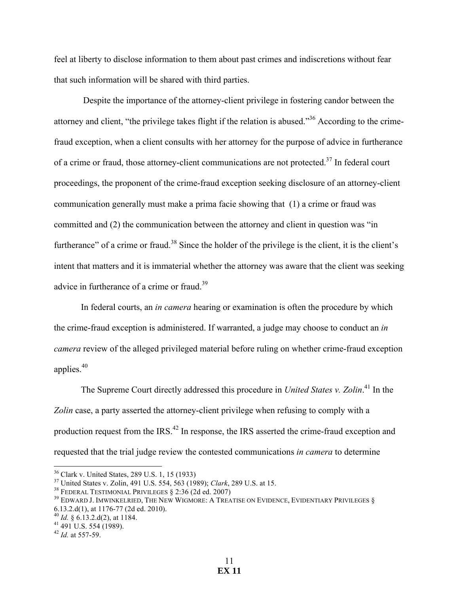feel at liberty to disclose information to them about past crimes and indiscretions without fear that such information will be shared with third parties.

Despite the importance of the attorney-client privilege in fostering candor between the attorney and client, "the privilege takes flight if the relation is abused."36 According to the crimefraud exception, when a client consults with her attorney for the purpose of advice in furtherance of a crime or fraud, those attorney-client communications are not protected.<sup>37</sup> In federal court proceedings, the proponent of the crime-fraud exception seeking disclosure of an attorney-client communication generally must make a prima facie showing that (1) a crime or fraud was committed and (2) the communication between the attorney and client in question was "in furtherance" of a crime or fraud.<sup>38</sup> Since the holder of the privilege is the client, it is the client's intent that matters and it is immaterial whether the attorney was aware that the client was seeking advice in furtherance of a crime or fraud.<sup>39</sup>

In federal courts, an *in camera* hearing or examination is often the procedure by which the crime-fraud exception is administered. If warranted, a judge may choose to conduct an *in camera* review of the alleged privileged material before ruling on whether crime-fraud exception applies. 40

The Supreme Court directly addressed this procedure in *United States v. Zolin*. <sup>41</sup> In the *Zolin* case, a party asserted the attorney-client privilege when refusing to comply with a production request from the IRS.<sup>42</sup> In response, the IRS asserted the crime-fraud exception and requested that the trial judge review the contested communications *in camera* to determine

<sup>&</sup>lt;sup>36</sup> Clark v. United States, 289 U.S. 1, 15 (1933)<br><sup>37</sup> United States v. Zolin, 491 U.S. 554, 563 (1989); *Clark*, 289 U.S. at 15.<br><sup>38</sup> FEDERAL TESTIMONIAL PRIVILEGES § 2:36 (2d ed. 2007)<br><sup>39</sup> EDWARD J. IMWINKELRIED, THE 6.13.2.d(1), at 1176-77 (2d ed. 2010). <sup>40</sup> *Id.* § 6.13.2.d(2), at 1184. 41 491 U.S. 554 (1989). 42 *Id.* at 557-59.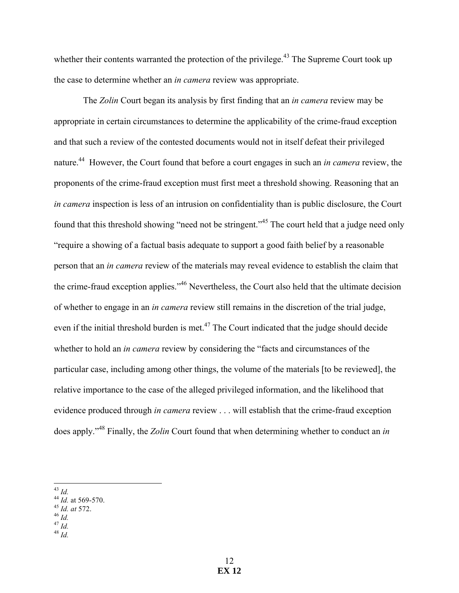whether their contents warranted the protection of the privilege.<sup>43</sup> The Supreme Court took up the case to determine whether an *in camera* review was appropriate.

The *Zolin* Court began its analysis by first finding that an *in camera* review may be appropriate in certain circumstances to determine the applicability of the crime-fraud exception and that such a review of the contested documents would not in itself defeat their privileged nature. 44 However, the Court found that before a court engages in such an *in camera* review, the proponents of the crime-fraud exception must first meet a threshold showing. Reasoning that an *in camera* inspection is less of an intrusion on confidentiality than is public disclosure, the Court found that this threshold showing "need not be stringent."<sup>45</sup> The court held that a judge need only "require a showing of a factual basis adequate to support a good faith belief by a reasonable person that an *in camera* review of the materials may reveal evidence to establish the claim that the crime-fraud exception applies."46 Nevertheless, the Court also held that the ultimate decision of whether to engage in an *in camera* review still remains in the discretion of the trial judge, even if the initial threshold burden is met.<sup>47</sup> The Court indicated that the judge should decide whether to hold an *in camera* review by considering the "facts and circumstances of the particular case, including among other things, the volume of the materials [to be reviewed], the relative importance to the case of the alleged privileged information, and the likelihood that evidence produced through *in camera* review . . . will establish that the crime-fraud exception does apply."<sup>48</sup> Finally, the *Zolin* Court found that when determining whether to conduct an *in* 

- 
- 
- 

<sup>!!!!!!!!!!!!!!!!!!!!!!!!!!!!!!!!!!!!!!!!!!!!!!!!!!!!!!!</sup> <sup>43</sup> *Id.* <sup>44</sup> *Id.* at 569-570. 45 *Id. at* 572. 46 *Id.* <sup>47</sup> *Id.* <sup>48</sup> *Id.*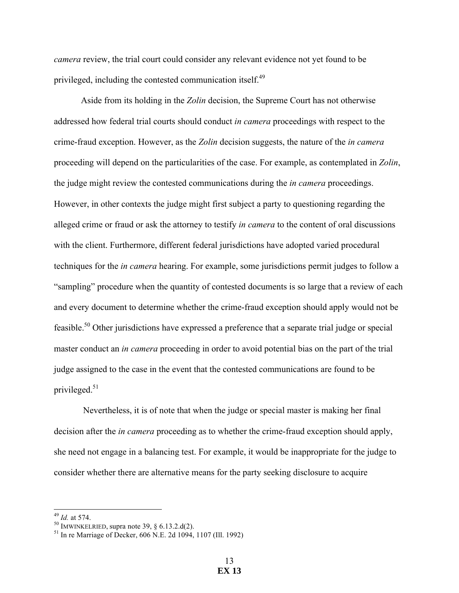*camera* review, the trial court could consider any relevant evidence not yet found to be privileged, including the contested communication itself.<sup>49</sup>

Aside from its holding in the *Zolin* decision, the Supreme Court has not otherwise addressed how federal trial courts should conduct *in camera* proceedings with respect to the crime-fraud exception. However, as the *Zolin* decision suggests, the nature of the *in camera*  proceeding will depend on the particularities of the case. For example, as contemplated in *Zolin*, the judge might review the contested communications during the *in camera* proceedings. However, in other contexts the judge might first subject a party to questioning regarding the alleged crime or fraud or ask the attorney to testify *in camera* to the content of oral discussions with the client. Furthermore, different federal jurisdictions have adopted varied procedural techniques for the *in camera* hearing. For example, some jurisdictions permit judges to follow a "sampling" procedure when the quantity of contested documents is so large that a review of each and every document to determine whether the crime-fraud exception should apply would not be feasible.<sup>50</sup> Other jurisdictions have expressed a preference that a separate trial judge or special master conduct an *in camera* proceeding in order to avoid potential bias on the part of the trial judge assigned to the case in the event that the contested communications are found to be privileged. 51

Nevertheless, it is of note that when the judge or special master is making her final decision after the *in camera* proceeding as to whether the crime-fraud exception should apply, she need not engage in a balancing test. For example, it would be inappropriate for the judge to consider whether there are alternative means for the party seeking disclosure to acquire

<sup>&</sup>lt;sup>49</sup> *Id.* at 574.<br><sup>50</sup> IMWINKELRIED, supra note 39, § 6.13.2.d(2).<br><sup>51</sup> In re Marriage of Decker, 606 N.E. 2d 1094, 1107 (Ill. 1992)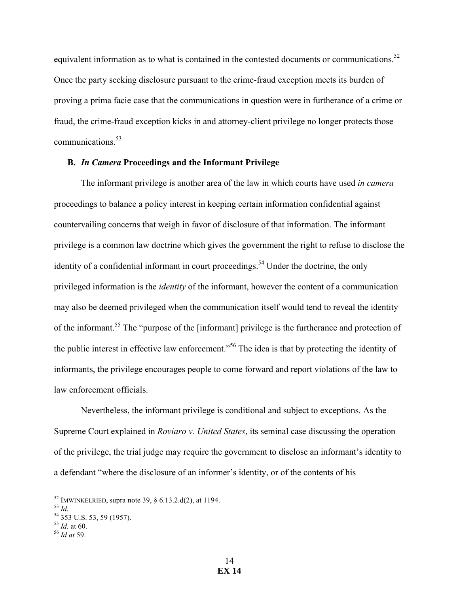equivalent information as to what is contained in the contested documents or communications.<sup>52</sup> Once the party seeking disclosure pursuant to the crime-fraud exception meets its burden of proving a prima facie case that the communications in question were in furtherance of a crime or fraud, the crime-fraud exception kicks in and attorney-client privilege no longer protects those communications. 53

# **B.** *In Camera* **Proceedings and the Informant Privilege**

The informant privilege is another area of the law in which courts have used *in camera*  proceedings to balance a policy interest in keeping certain information confidential against countervailing concerns that weigh in favor of disclosure of that information. The informant privilege is a common law doctrine which gives the government the right to refuse to disclose the identity of a confidential informant in court proceedings.<sup>54</sup> Under the doctrine, the only privileged information is the *identity* of the informant, however the content of a communication may also be deemed privileged when the communication itself would tend to reveal the identity of the informant.55 The "purpose of the [informant] privilege is the furtherance and protection of the public interest in effective law enforcement."<sup>56</sup> The idea is that by protecting the identity of informants, the privilege encourages people to come forward and report violations of the law to law enforcement officials.

Nevertheless, the informant privilege is conditional and subject to exceptions. As the Supreme Court explained in *Roviaro v. United States*, its seminal case discussing the operation of the privilege, the trial judge may require the government to disclose an informant's identity to a defendant "where the disclosure of an informer's identity, or of the contents of his

<sup>!!!!!!!!!!!!!!!!!!!!!!!!!!!!!!!!!!!!!!!!!!!!!!!!!!!!!!!</sup> <sup>52</sup> IMWINKELRIED, supra note 39, § 6.13.2.d(2), at 1194. <sup>53</sup> *Id.* <sup>54</sup> <sup>353</sup> U.S. 53, 59 (1957). 55 *Id.* at 60. 56 *Id at* 59.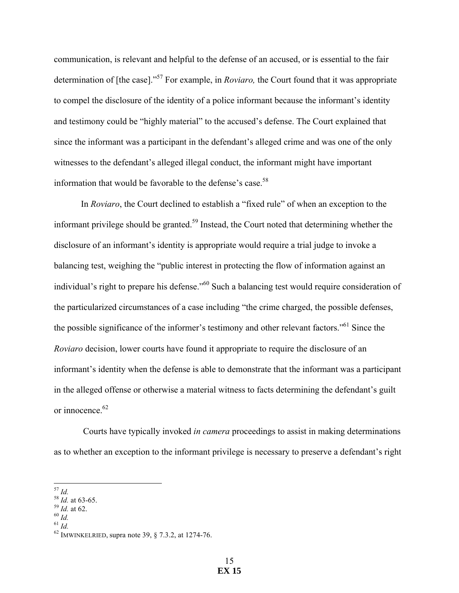communication, is relevant and helpful to the defense of an accused, or is essential to the fair determination of [the case]." <sup>57</sup> For example, in *Roviaro,* the Court found that it was appropriate to compel the disclosure of the identity of a police informant because the informant's identity and testimony could be "highly material" to the accused's defense. The Court explained that since the informant was a participant in the defendant's alleged crime and was one of the only witnesses to the defendant's alleged illegal conduct, the informant might have important information that would be favorable to the defense's case.<sup>58</sup>

In *Roviaro*, the Court declined to establish a "fixed rule" of when an exception to the informant privilege should be granted.<sup>59</sup> Instead, the Court noted that determining whether the disclosure of an informant's identity is appropriate would require a trial judge to invoke a balancing test, weighing the "public interest in protecting the flow of information against an individual's right to prepare his defense."<sup>60</sup> Such a balancing test would require consideration of the particularized circumstances of a case including "the crime charged, the possible defenses, the possible significance of the informer's testimony and other relevant factors."61 Since the *Roviaro* decision, lower courts have found it appropriate to require the disclosure of an informant's identity when the defense is able to demonstrate that the informant was a participant in the alleged offense or otherwise a material witness to facts determining the defendant's guilt or innocence.<sup>62</sup>

Courts have typically invoked *in camera* proceedings to assist in making determinations as to whether an exception to the informant privilege is necessary to preserve a defendant's right

- 
- 

<sup>&</sup>lt;sup>57</sup> *Id.*<br><sup>58</sup> *Id.* at 63-65.<br><sup>59</sup> *Id.* at 62.<br><sup>60</sup> *Id.* <sup>61</sup> *Id.* <sup>62</sup> IMWINKELRIED, supra note 39, § 7.3.2, at 1274-76.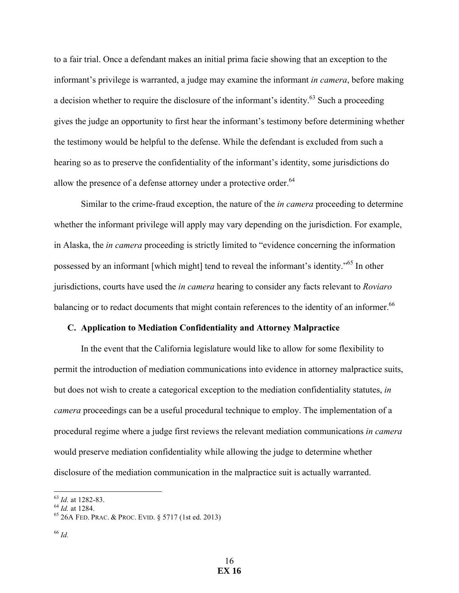to a fair trial. Once a defendant makes an initial prima facie showing that an exception to the informant's privilege is warranted, a judge may examine the informant *in camera*, before making a decision whether to require the disclosure of the informant's identity.<sup>63</sup> Such a proceeding gives the judge an opportunity to first hear the informant's testimony before determining whether the testimony would be helpful to the defense. While the defendant is excluded from such a hearing so as to preserve the confidentiality of the informant's identity, some jurisdictions do allow the presence of a defense attorney under a protective order.<sup>64</sup>

Similar to the crime-fraud exception, the nature of the *in camera* proceeding to determine whether the informant privilege will apply may vary depending on the jurisdiction. For example, in Alaska, the *in camera* proceeding is strictly limited to "evidence concerning the information possessed by an informant [which might] tend to reveal the informant's identity."65 In other jurisdictions, courts have used the *in camera* hearing to consider any facts relevant to *Roviaro* balancing or to redact documents that might contain references to the identity of an informer.<sup>66</sup>

#### **C. Application to Mediation Confidentiality and Attorney Malpractice**

In the event that the California legislature would like to allow for some flexibility to permit the introduction of mediation communications into evidence in attorney malpractice suits, but does not wish to create a categorical exception to the mediation confidentiality statutes, *in camera* proceedings can be a useful procedural technique to employ. The implementation of a procedural regime where a judge first reviews the relevant mediation communications *in camera*  would preserve mediation confidentiality while allowing the judge to determine whether disclosure of the mediation communication in the malpractice suit is actually warranted.

<sup>&</sup>lt;sup>63</sup> Id. at 1282-83.<br><sup>64</sup> Id. at 1284.<br><sup>65</sup> 26A FED. PRAC. & PROC. EVID. § 5717 (1st ed. 2013)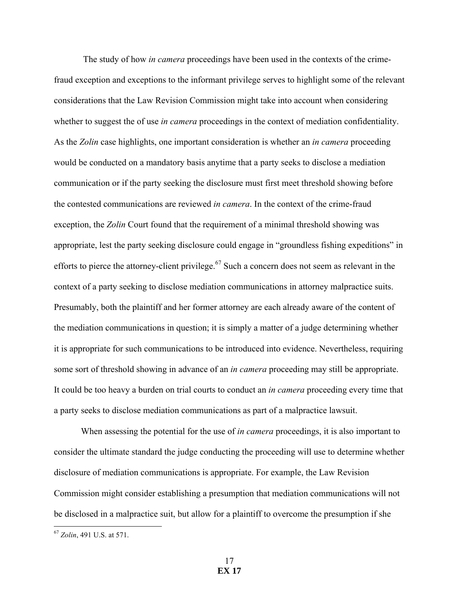The study of how *in camera* proceedings have been used in the contexts of the crimefraud exception and exceptions to the informant privilege serves to highlight some of the relevant considerations that the Law Revision Commission might take into account when considering whether to suggest the of use *in camera* proceedings in the context of mediation confidentiality. As the *Zolin* case highlights, one important consideration is whether an *in camera* proceeding would be conducted on a mandatory basis anytime that a party seeks to disclose a mediation communication or if the party seeking the disclosure must first meet threshold showing before the contested communications are reviewed *in camera*. In the context of the crime-fraud exception, the *Zolin* Court found that the requirement of a minimal threshold showing was appropriate, lest the party seeking disclosure could engage in "groundless fishing expeditions" in efforts to pierce the attorney-client privilege.<sup>67</sup> Such a concern does not seem as relevant in the context of a party seeking to disclose mediation communications in attorney malpractice suits. Presumably, both the plaintiff and her former attorney are each already aware of the content of the mediation communications in question; it is simply a matter of a judge determining whether it is appropriate for such communications to be introduced into evidence. Nevertheless, requiring some sort of threshold showing in advance of an *in camera* proceeding may still be appropriate. It could be too heavy a burden on trial courts to conduct an *in camera* proceeding every time that a party seeks to disclose mediation communications as part of a malpractice lawsuit.

When assessing the potential for the use of *in camera* proceedings, it is also important to consider the ultimate standard the judge conducting the proceeding will use to determine whether disclosure of mediation communications is appropriate. For example, the Law Revision Commission might consider establishing a presumption that mediation communications will not be disclosed in a malpractice suit, but allow for a plaintiff to overcome the presumption if she

<sup>&</sup>lt;sup>67</sup> Zolin, 491 U.S. at 571.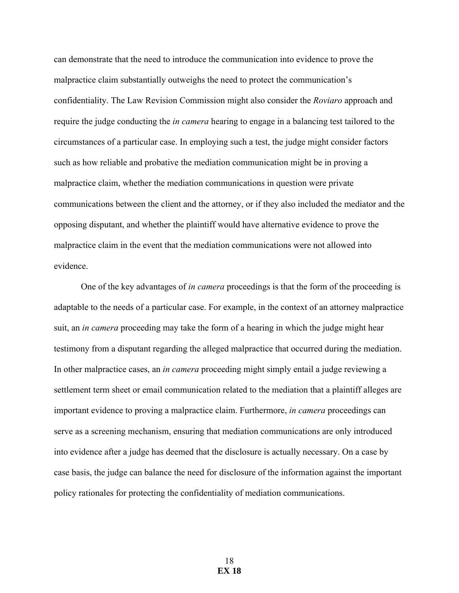can demonstrate that the need to introduce the communication into evidence to prove the malpractice claim substantially outweighs the need to protect the communication's confidentiality. The Law Revision Commission might also consider the *Roviaro* approach and require the judge conducting the *in camera* hearing to engage in a balancing test tailored to the circumstances of a particular case. In employing such a test, the judge might consider factors such as how reliable and probative the mediation communication might be in proving a malpractice claim, whether the mediation communications in question were private communications between the client and the attorney, or if they also included the mediator and the opposing disputant, and whether the plaintiff would have alternative evidence to prove the malpractice claim in the event that the mediation communications were not allowed into evidence.

One of the key advantages of *in camera* proceedings is that the form of the proceeding is adaptable to the needs of a particular case. For example, in the context of an attorney malpractice suit, an *in camera* proceeding may take the form of a hearing in which the judge might hear testimony from a disputant regarding the alleged malpractice that occurred during the mediation. In other malpractice cases, an *in camera* proceeding might simply entail a judge reviewing a settlement term sheet or email communication related to the mediation that a plaintiff alleges are important evidence to proving a malpractice claim. Furthermore, *in camera* proceedings can serve as a screening mechanism, ensuring that mediation communications are only introduced into evidence after a judge has deemed that the disclosure is actually necessary. On a case by case basis, the judge can balance the need for disclosure of the information against the important policy rationales for protecting the confidentiality of mediation communications.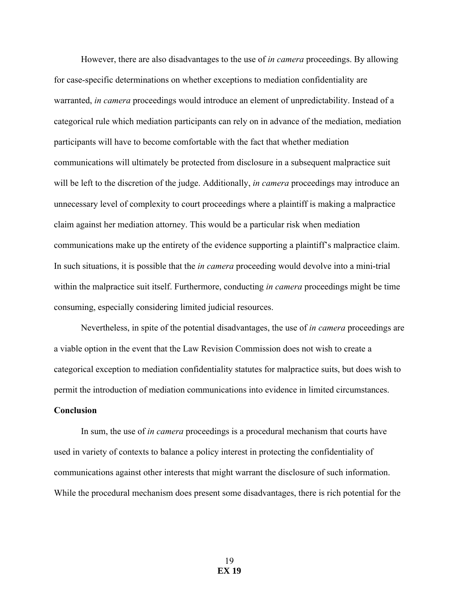However, there are also disadvantages to the use of *in camera* proceedings. By allowing for case-specific determinations on whether exceptions to mediation confidentiality are warranted, *in camera* proceedings would introduce an element of unpredictability. Instead of a categorical rule which mediation participants can rely on in advance of the mediation, mediation participants will have to become comfortable with the fact that whether mediation communications will ultimately be protected from disclosure in a subsequent malpractice suit will be left to the discretion of the judge. Additionally, *in camera* proceedings may introduce an unnecessary level of complexity to court proceedings where a plaintiff is making a malpractice claim against her mediation attorney. This would be a particular risk when mediation communications make up the entirety of the evidence supporting a plaintiff's malpractice claim. In such situations, it is possible that the *in camera* proceeding would devolve into a mini-trial within the malpractice suit itself. Furthermore, conducting *in camera* proceedings might be time consuming, especially considering limited judicial resources.

Nevertheless, in spite of the potential disadvantages, the use of *in camera* proceedings are a viable option in the event that the Law Revision Commission does not wish to create a categorical exception to mediation confidentiality statutes for malpractice suits, but does wish to permit the introduction of mediation communications into evidence in limited circumstances.

### **Conclusion**

In sum, the use of *in camera* proceedings is a procedural mechanism that courts have used in variety of contexts to balance a policy interest in protecting the confidentiality of communications against other interests that might warrant the disclosure of such information. While the procedural mechanism does present some disadvantages, there is rich potential for the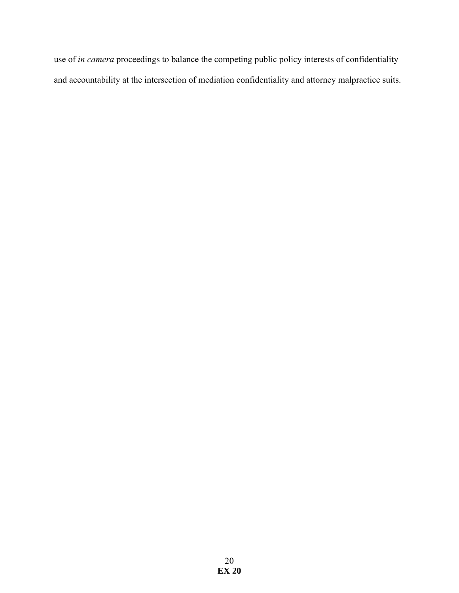use of *in camera* proceedings to balance the competing public policy interests of confidentiality and accountability at the intersection of mediation confidentiality and attorney malpractice suits.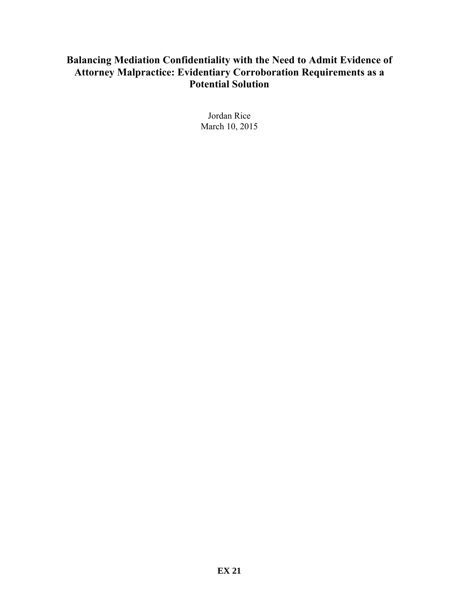# **Balancing Mediation Confidentiality with the Need to Admit Evidence of Attorney Malpractice: Evidentiary Corroboration Requirements as a Potential Solution**

Jordan Rice March 10, 2015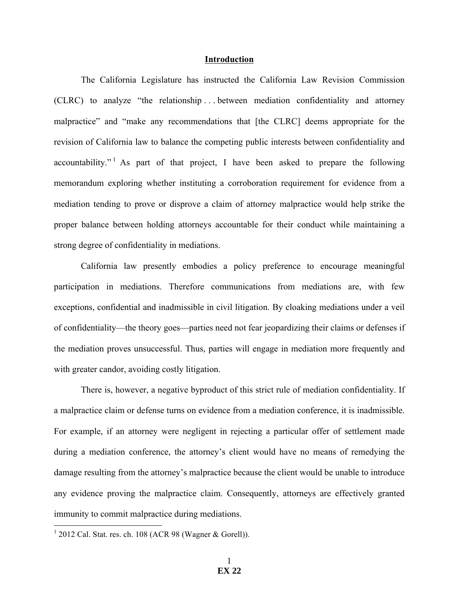#### **Introduction**

The California Legislature has instructed the California Law Revision Commission (CLRC) to analyze "the relationship . . . between mediation confidentiality and attorney malpractice" and "make any recommendations that [the CLRC] deems appropriate for the revision of California law to balance the competing public interests between confidentiality and accountability."<sup>1</sup> As part of that project, I have been asked to prepare the following memorandum exploring whether instituting a corroboration requirement for evidence from a mediation tending to prove or disprove a claim of attorney malpractice would help strike the proper balance between holding attorneys accountable for their conduct while maintaining a strong degree of confidentiality in mediations.

California law presently embodies a policy preference to encourage meaningful participation in mediations. Therefore communications from mediations are, with few exceptions, confidential and inadmissible in civil litigation. By cloaking mediations under a veil of confidentiality—the theory goes—parties need not fear jeopardizing their claims or defenses if the mediation proves unsuccessful. Thus, parties will engage in mediation more frequently and with greater candor, avoiding costly litigation.

There is, however, a negative byproduct of this strict rule of mediation confidentiality. If a malpractice claim or defense turns on evidence from a mediation conference, it is inadmissible. For example, if an attorney were negligent in rejecting a particular offer of settlement made during a mediation conference, the attorney's client would have no means of remedying the damage resulting from the attorney's malpractice because the client would be unable to introduce any evidence proving the malpractice claim. Consequently, attorneys are effectively granted immunity to commit malpractice during mediations.

 $1$  2012 Cal. Stat. res. ch. 108 (ACR 98 (Wagner & Gorell)).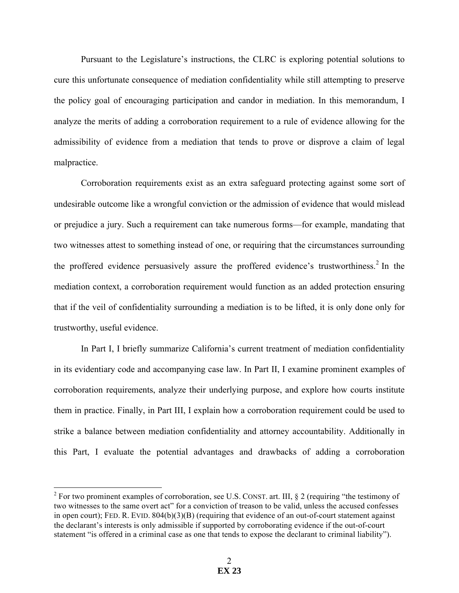Pursuant to the Legislature's instructions, the CLRC is exploring potential solutions to cure this unfortunate consequence of mediation confidentiality while still attempting to preserve the policy goal of encouraging participation and candor in mediation. In this memorandum, I analyze the merits of adding a corroboration requirement to a rule of evidence allowing for the admissibility of evidence from a mediation that tends to prove or disprove a claim of legal malpractice.

Corroboration requirements exist as an extra safeguard protecting against some sort of undesirable outcome like a wrongful conviction or the admission of evidence that would mislead or prejudice a jury. Such a requirement can take numerous forms—for example, mandating that two witnesses attest to something instead of one, or requiring that the circumstances surrounding the proffered evidence persuasively assure the proffered evidence's trustworthiness.<sup>2</sup> In the mediation context, a corroboration requirement would function as an added protection ensuring that if the veil of confidentiality surrounding a mediation is to be lifted, it is only done only for trustworthy, useful evidence.

In Part I, I briefly summarize California's current treatment of mediation confidentiality in its evidentiary code and accompanying case law. In Part II, I examine prominent examples of corroboration requirements, analyze their underlying purpose, and explore how courts institute them in practice. Finally, in Part III, I explain how a corroboration requirement could be used to strike a balance between mediation confidentiality and attorney accountability. Additionally in this Part, I evaluate the potential advantages and drawbacks of adding a corroboration

<sup>&</sup>lt;sup>2</sup> For two prominent examples of corroboration, see U.S. CONST. art. III, § 2 (requiring "the testimony of two witnesses to the same overt act" for a conviction of treason to be valid, unless the accused confesses in open court); FED. R. EVID. 804(b)(3)(B) (requiring that evidence of an out-of-court statement against the declarant's interests is only admissible if supported by corroborating evidence if the out-of-court statement "is offered in a criminal case as one that tends to expose the declarant to criminal liability").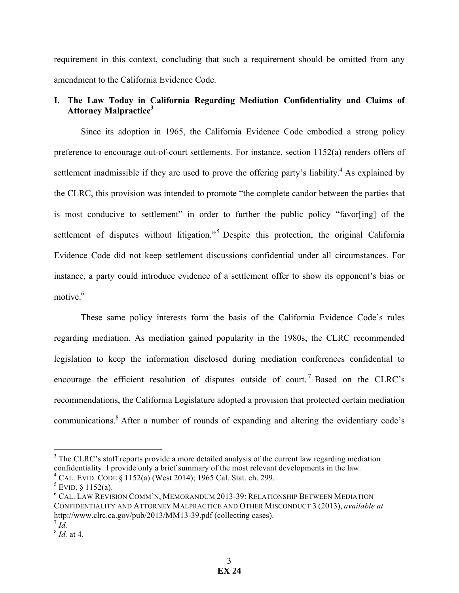requirement in this context, concluding that such a requirement should be omitted from any amendment to the California Evidence Code.

# **I. The Law Today in California Regarding Mediation Confidentiality and Claims of Attorney Malpractice3**

Since its adoption in 1965, the California Evidence Code embodied a strong policy preference to encourage out-of-court settlements. For instance, section 1152(a) renders offers of settlement inadmissible if they are used to prove the offering party's liability.<sup>4</sup> As explained by the CLRC, this provision was intended to promote "the complete candor between the parties that is most conducive to settlement" in order to further the public policy "favor[ing] of the settlement of disputes without litigation."<sup>5</sup> Despite this protection, the original California Evidence Code did not keep settlement discussions confidential under all circumstances. For instance, a party could introduce evidence of a settlement offer to show its opponent's bias or motive<sup>6</sup>

These same policy interests form the basis of the California Evidence Code's rules regarding mediation. As mediation gained popularity in the 1980s, the CLRC recommended legislation to keep the information disclosed during mediation conferences confidential to encourage the efficient resolution of disputes outside of court.<sup>7</sup> Based on the CLRC's recommendations, the California Legislature adopted a provision that protected certain mediation communications.8 After a number of rounds of expanding and altering the evidentiary code's

<sup>&</sup>lt;sup>3</sup> The CLRC's staff reports provide a more detailed analysis of the current law regarding mediation confidentiality. I provide only a brief summary of the most relevant developments in the law.  $^{4}$  CAL. EVID. CODE  $\S$  1152(a) (West 2014); 1965 Cal. Stat. ch. 299.

 $5$  EVID.  $8$  1152(a).

<sup>6</sup> CAL. LAW REVISION COMM'N, MEMORANDUM 2013-39: RELATIONSHIP BETWEEN MEDIATION CONFIDENTIALITY AND ATTORNEY MALPRACTICE AND OTHER MISCONDUCT 3 (2013), *available at*  http://www.clrc.ca.gov/pub/2013/MM13-39.pdf (collecting cases).<sup>7</sup> *Id.* 

<sup>8</sup> *Id.* at 4.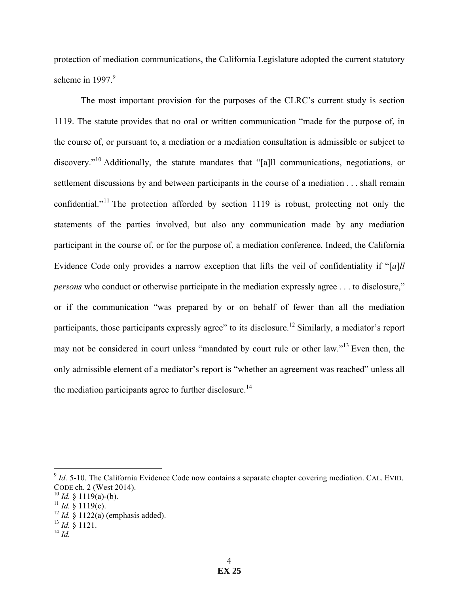protection of mediation communications, the California Legislature adopted the current statutory scheme in 1997.<sup>9</sup>

The most important provision for the purposes of the CLRC's current study is section 1119. The statute provides that no oral or written communication "made for the purpose of, in the course of, or pursuant to, a mediation or a mediation consultation is admissible or subject to discovery."<sup>10</sup> Additionally, the statute mandates that "[a]ll communications, negotiations, or settlement discussions by and between participants in the course of a mediation . . . shall remain confidential."<sup>11</sup> The protection afforded by section 1119 is robust, protecting not only the statements of the parties involved, but also any communication made by any mediation participant in the course of, or for the purpose of, a mediation conference. Indeed, the California Evidence Code only provides a narrow exception that lifts the veil of confidentiality if "[*a*]*ll persons* who conduct or otherwise participate in the mediation expressly agree . . . to disclosure," or if the communication "was prepared by or on behalf of fewer than all the mediation participants, those participants expressly agree" to its disclosure.<sup>12</sup> Similarly, a mediator's report may not be considered in court unless "mandated by court rule or other law."<sup>13</sup> Even then, the only admissible element of a mediator's report is "whether an agreement was reached" unless all the mediation participants agree to further disclosure.<sup>14</sup>

 $^{14}$  *Id.* 

<sup>&</sup>lt;sup>9</sup> *Id.* 5-10. The California Evidence Code now contains a separate chapter covering mediation. CAL. EVID. CODE ch. 2 (West 2014).

 $10$  *Id.* § 1119(a)-(b).

<sup>&</sup>lt;sup>11</sup> *Id.*  $\frac{1}{2}$  1119(c).

<sup>12</sup> *Id.* § 1122(a) (emphasis added). 13 *Id.* § 1121.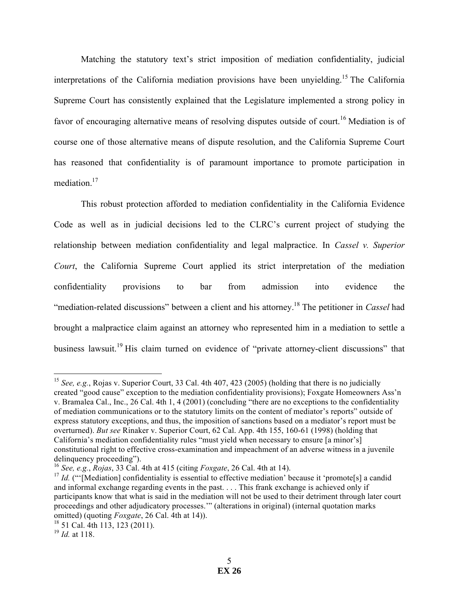Matching the statutory text's strict imposition of mediation confidentiality, judicial interpretations of the California mediation provisions have been unyielding.<sup>15</sup> The California Supreme Court has consistently explained that the Legislature implemented a strong policy in favor of encouraging alternative means of resolving disputes outside of court.<sup>16</sup> Mediation is of course one of those alternative means of dispute resolution, and the California Supreme Court has reasoned that confidentiality is of paramount importance to promote participation in mediation.<sup>17</sup>

This robust protection afforded to mediation confidentiality in the California Evidence Code as well as in judicial decisions led to the CLRC's current project of studying the relationship between mediation confidentiality and legal malpractice. In *Cassel v. Superior Court*, the California Supreme Court applied its strict interpretation of the mediation confidentiality provisions to bar from admission into evidence the "mediation-related discussions" between a client and his attorney.18 The petitioner in *Cassel* had brought a malpractice claim against an attorney who represented him in a mediation to settle a business lawsuit.<sup>19</sup> His claim turned on evidence of "private attorney-client discussions" that

<sup>&</sup>lt;sup>15</sup> *See, e.g.*, Rojas v. Superior Court, 33 Cal. 4th 407, 423 (2005) (holding that there is no judicially created "good cause" exception to the mediation confidentiality provisions); Foxgate Homeowners Ass'n v. Bramalea Cal., Inc., 26 Cal. 4th 1, 4 (2001) (concluding "there are no exceptions to the confidentiality of mediation communications or to the statutory limits on the content of mediator's reports" outside of express statutory exceptions, and thus, the imposition of sanctions based on a mediator's report must be overturned). *But see* Rinaker v. Superior Court, 62 Cal. App. 4th 155, 160-61 (1998) (holding that California's mediation confidentiality rules "must yield when necessary to ensure [a minor's] constitutional right to effective cross-examination and impeachment of an adverse witness in a juvenile delinquency proceeding").

<sup>16</sup> *See, e.g.*, *Rojas*, 33 Cal. 4th at 415 (citing *Foxgate*, 26 Cal. 4th at 14).

<sup>&</sup>lt;sup>17</sup> *Id.* ("[Mediation] confidentiality is essential to effective mediation' because it 'promote[s] a candid and informal exchange regarding events in the past. . . . This frank exchange is achieved only if participants know that what is said in the mediation will not be used to their detriment through later court proceedings and other adjudicatory processes.'" (alterations in original) (internal quotation marks omitted) (quoting *Foxgate*, 26 Cal. 4th at 14)).

<sup>18</sup> 51 Cal. 4th 113, 123 (2011).

<sup>19</sup> *Id.* at 118.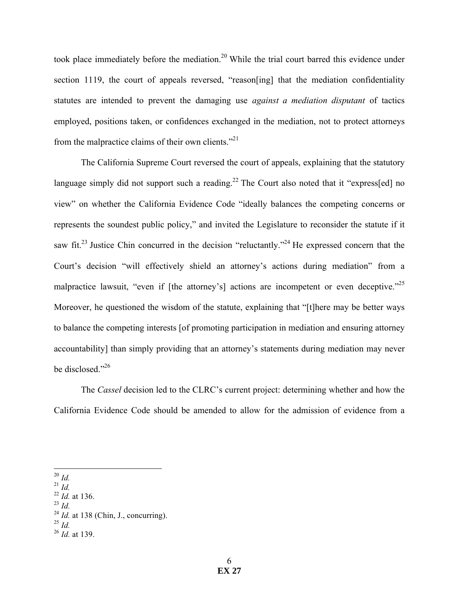took place immediately before the mediation.<sup>20</sup> While the trial court barred this evidence under section 1119, the court of appeals reversed, "reason [ing] that the mediation confidentiality statutes are intended to prevent the damaging use *against a mediation disputant* of tactics employed, positions taken, or confidences exchanged in the mediation, not to protect attorneys from the malpractice claims of their own clients. $^{221}$ 

The California Supreme Court reversed the court of appeals, explaining that the statutory language simply did not support such a reading.<sup>22</sup> The Court also noted that it "express[ed] no view" on whether the California Evidence Code "ideally balances the competing concerns or represents the soundest public policy," and invited the Legislature to reconsider the statute if it saw fit.<sup>23</sup> Justice Chin concurred in the decision "reluctantly."<sup>24</sup> He expressed concern that the Court's decision "will effectively shield an attorney's actions during mediation" from a malpractice lawsuit, "even if [the attorney's] actions are incompetent or even deceptive."<sup>25</sup> Moreover, he questioned the wisdom of the statute, explaining that "[t]here may be better ways to balance the competing interests [of promoting participation in mediation and ensuring attorney accountability] than simply providing that an attorney's statements during mediation may never be disclosed."<sup>26</sup>

The *Cassel* decision led to the CLRC's current project: determining whether and how the California Evidence Code should be amended to allow for the admission of evidence from a

- <sup>22</sup> *Id.* at 136.
- $^{23}$  *Id.*
- <sup>24</sup> *Id.* at 138 (Chin, J., concurring).
- $^{25}$  *Id.*
- <sup>26</sup> *Id.* at 139.

 <sup>20</sup> *Id.* 

 $^{21}$  *Id.*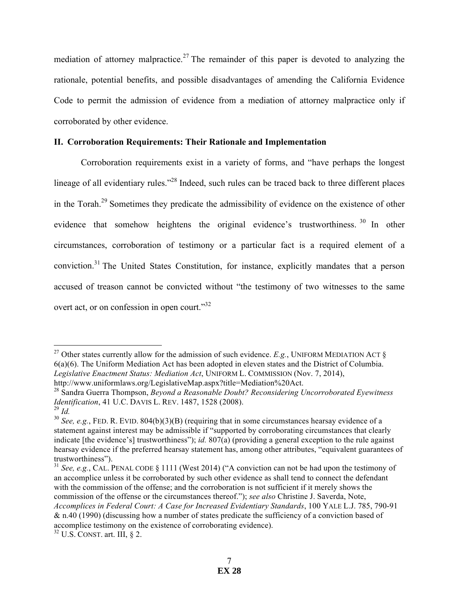mediation of attorney malpractice.<sup>27</sup> The remainder of this paper is devoted to analyzing the rationale, potential benefits, and possible disadvantages of amending the California Evidence Code to permit the admission of evidence from a mediation of attorney malpractice only if corroborated by other evidence.

## **II. Corroboration Requirements: Their Rationale and Implementation**

Corroboration requirements exist in a variety of forms, and "have perhaps the longest lineage of all evidentiary rules."<sup>28</sup> Indeed, such rules can be traced back to three different places in the Torah.<sup>29</sup> Sometimes they predicate the admissibility of evidence on the existence of other evidence that somehow heightens the original evidence's trustworthiness.<sup>30</sup> In other circumstances, corroboration of testimony or a particular fact is a required element of a conviction.<sup>31</sup> The United States Constitution, for instance, explicitly mandates that a person accused of treason cannot be convicted without "the testimony of two witnesses to the same overt act, or on confession in open court."<sup>32</sup>

<sup>&</sup>lt;sup>27</sup> Other states currently allow for the admission of such evidence. *E.g.*, UNIFORM MEDIATION ACT § 6(a)(6). The Uniform Mediation Act has been adopted in eleven states and the District of Columbia. *Legislative Enactment Status: Mediation Act*, UNIFORM L. COMMISSION (Nov. 7, 2014), http://www.uniformlaws.org/LegislativeMap.aspx?title=Mediation%20Act.

<sup>28</sup> Sandra Guerra Thompson, *Beyond a Reasonable Doubt? Reconsidering Uncorroborated Eyewitness Identification*, 41 U.C. DAVIS L. REV. 1487, 1528 (2008).  $^{29}$  *Id.* 

 $30$  *See, e.g.*, FED. R. EVID.  $804(b)(3)(B)$  (requiring that in some circumstances hearsay evidence of a statement against interest may be admissible if "supported by corroborating circumstances that clearly indicate [the evidence's] trustworthiness"); *id.* 807(a) (providing a general exception to the rule against hearsay evidence if the preferred hearsay statement has, among other attributes, "equivalent guarantees of trustworthiness").

<sup>&</sup>lt;sup>31</sup> *See, e.g.*, CAL. PENAL CODE § 1111 (West 2014) ("A conviction can not be had upon the testimony of an accomplice unless it be corroborated by such other evidence as shall tend to connect the defendant with the commission of the offense; and the corroboration is not sufficient if it merely shows the commission of the offense or the circumstances thereof."); *see also* Christine J. Saverda, Note, *Accomplices in Federal Court: A Case for Increased Evidentiary Standards*, 100 YALE L.J. 785, 790-91 & n.40 (1990) (discussing how a number of states predicate the sufficiency of a conviction based of accomplice testimony on the existence of corroborating evidence).  $32$  U.S. CONST. art. III, § 2.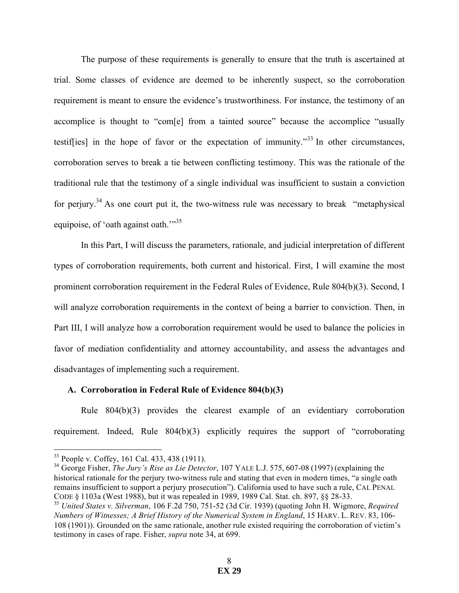The purpose of these requirements is generally to ensure that the truth is ascertained at trial. Some classes of evidence are deemed to be inherently suspect, so the corroboration requirement is meant to ensure the evidence's trustworthiness. For instance, the testimony of an accomplice is thought to "com[e] from a tainted source" because the accomplice "usually testiffies] in the hope of favor or the expectation of immunity.<sup>33</sup> In other circumstances, corroboration serves to break a tie between conflicting testimony. This was the rationale of the traditional rule that the testimony of a single individual was insufficient to sustain a conviction for perjury.<sup>34</sup> As one court put it, the two-witness rule was necessary to break "metaphysical" equipoise, of 'oath against oath.'"<sup>35</sup>

In this Part, I will discuss the parameters, rationale, and judicial interpretation of different types of corroboration requirements, both current and historical. First, I will examine the most prominent corroboration requirement in the Federal Rules of Evidence, Rule 804(b)(3). Second, I will analyze corroboration requirements in the context of being a barrier to conviction. Then, in Part III, I will analyze how a corroboration requirement would be used to balance the policies in favor of mediation confidentiality and attorney accountability, and assess the advantages and disadvantages of implementing such a requirement.

#### **A. Corroboration in Federal Rule of Evidence 804(b)(3)**

Rule 804(b)(3) provides the clearest example of an evidentiary corroboration requirement. Indeed, Rule 804(b)(3) explicitly requires the support of "corroborating

 <sup>33</sup> People v. Coffey, 161 Cal. 433, 438 (1911).

<sup>34</sup> George Fisher, *The Jury's Rise as Lie Detector*, 107 YALE L.J. 575, 607-08 (1997) (explaining the historical rationale for the perjury two-witness rule and stating that even in modern times, "a single oath remains insufficient to support a perjury prosecution"). California used to have such a rule, CAL PENAL CODE § 1103a (West 1988), but it was repealed in 1989, 1989 Cal. Stat. ch. 897, §§ 28-33.

<sup>35</sup> *United States v. Silverman*, 106 F.2d 750, 751-52 (3d Cir. 1939) (quoting John H. Wigmore, *Required Numbers of Witnesses; A Brief History of the Numerical System in England*, 15 HARV. L. REV. 83, 106- 108 (1901)). Grounded on the same rationale, another rule existed requiring the corroboration of victim's testimony in cases of rape. Fisher, *supra* note 34, at 699.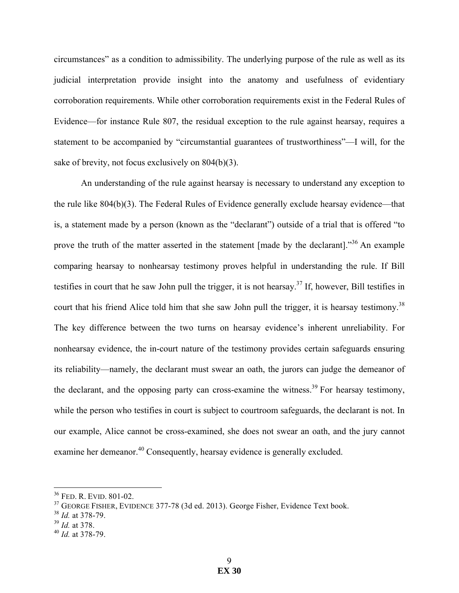circumstances" as a condition to admissibility. The underlying purpose of the rule as well as its judicial interpretation provide insight into the anatomy and usefulness of evidentiary corroboration requirements. While other corroboration requirements exist in the Federal Rules of Evidence—for instance Rule 807, the residual exception to the rule against hearsay, requires a statement to be accompanied by "circumstantial guarantees of trustworthiness"—I will, for the sake of brevity, not focus exclusively on 804(b)(3).

An understanding of the rule against hearsay is necessary to understand any exception to the rule like 804(b)(3). The Federal Rules of Evidence generally exclude hearsay evidence—that is, a statement made by a person (known as the "declarant") outside of a trial that is offered "to prove the truth of the matter asserted in the statement [made by the declarant].<sup>36</sup> An example comparing hearsay to nonhearsay testimony proves helpful in understanding the rule. If Bill testifies in court that he saw John pull the trigger, it is not hearsay.37 If, however, Bill testifies in court that his friend Alice told him that she saw John pull the trigger, it is hearsay testimony.<sup>38</sup> The key difference between the two turns on hearsay evidence's inherent unreliability. For nonhearsay evidence, the in-court nature of the testimony provides certain safeguards ensuring its reliability—namely, the declarant must swear an oath, the jurors can judge the demeanor of the declarant, and the opposing party can cross-examine the witness.<sup>39</sup> For hearsay testimony, while the person who testifies in court is subject to courtroom safeguards, the declarant is not. In our example, Alice cannot be cross-examined, she does not swear an oath, and the jury cannot examine her demeanor.<sup>40</sup> Consequently, hearsay evidence is generally excluded.

 <sup>36</sup> FED. R. EVID. 801-02.

 $37$  GEORGE FISHER, EVIDENCE 377-78 (3d ed. 2013). George Fisher, Evidence Text book.

<sup>38</sup> *Id.* at 378-79.

<sup>39</sup> *Id.* at 378.

<sup>40</sup> *Id.* at 378-79.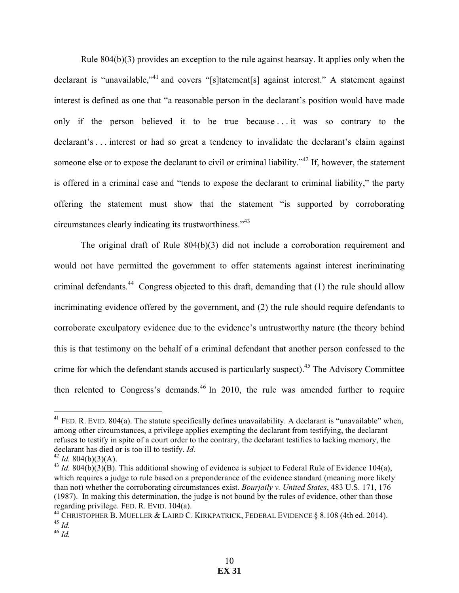Rule 804(b)(3) provides an exception to the rule against hearsay. It applies only when the declarant is "unavailable,"<sup>41</sup> and covers "[s]tatement[s] against interest." A statement against interest is defined as one that "a reasonable person in the declarant's position would have made only if the person believed it to be true because ... it was so contrary to the declarant's . . . interest or had so great a tendency to invalidate the declarant's claim against someone else or to expose the declarant to civil or criminal liability."<sup>42</sup> If, however, the statement is offered in a criminal case and "tends to expose the declarant to criminal liability," the party offering the statement must show that the statement "is supported by corroborating circumstances clearly indicating its trustworthiness."<sup>43</sup>

The original draft of Rule 804(b)(3) did not include a corroboration requirement and would not have permitted the government to offer statements against interest incriminating criminal defendants.<sup>44</sup> Congress objected to this draft, demanding that  $(1)$  the rule should allow incriminating evidence offered by the government, and (2) the rule should require defendants to corroborate exculpatory evidence due to the evidence's untrustworthy nature (the theory behind this is that testimony on the behalf of a criminal defendant that another person confessed to the crime for which the defendant stands accused is particularly suspect).<sup>45</sup> The Advisory Committee then relented to Congress's demands.<sup>46</sup> In 2010, the rule was amended further to require

 $41$  FED. R. EVID. 804(a). The statute specifically defines unavailability. A declarant is "unavailable" when, among other circumstances, a privilege applies exempting the declarant from testifying, the declarant refuses to testify in spite of a court order to the contrary, the declarant testifies to lacking memory, the declarant has died or is too ill to testify. *Id.* 

 $42$  *Id.* 804(b)(3)(A).

 $^{43}$  *Id.* 804(b)(3)(B). This additional showing of evidence is subject to Federal Rule of Evidence 104(a), which requires a judge to rule based on a preponderance of the evidence standard (meaning more likely than not) whether the corroborating circumstances exist. *Bourjaily v. United States*, 483 U.S. 171, 176 (1987). In making this determination, the judge is not bound by the rules of evidence, other than those regarding privilege. FED. R. EVID. 104(a).

<sup>&</sup>lt;sup>44</sup> CHRISTOPHER B. MUELLER & LAIRD C. KIRKPATRICK, FEDERAL EVIDENCE § 8.108 (4th ed. 2014). <sup>45</sup> *Id.* 

<sup>46</sup> *Id.*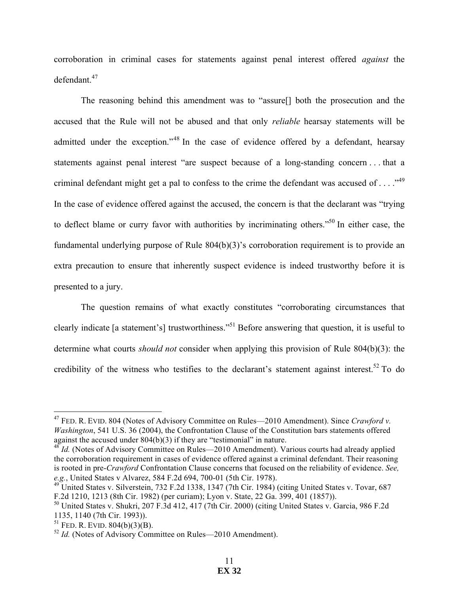corroboration in criminal cases for statements against penal interest offered *against* the defendant.<sup>47</sup>

The reasoning behind this amendment was to "assure[] both the prosecution and the accused that the Rule will not be abused and that only *reliable* hearsay statements will be admitted under the exception."<sup>48</sup> In the case of evidence offered by a defendant, hearsay statements against penal interest "are suspect because of a long-standing concern . . . that a criminal defendant might get a pal to confess to the crime the defendant was accused of  $\dots$ ."<sup>49</sup> In the case of evidence offered against the accused, the concern is that the declarant was "trying to deflect blame or curry favor with authorities by incriminating others."50 In either case, the fundamental underlying purpose of Rule 804(b)(3)'s corroboration requirement is to provide an extra precaution to ensure that inherently suspect evidence is indeed trustworthy before it is presented to a jury.

The question remains of what exactly constitutes "corroborating circumstances that clearly indicate [a statement's] trustworthiness."51 Before answering that question, it is useful to determine what courts *should not* consider when applying this provision of Rule 804(b)(3): the credibility of the witness who testifies to the declarant's statement against interest.<sup>52</sup> To do

 <sup>47</sup> FED. R. EVID. 804 (Notes of Advisory Committee on Rules—2010 Amendment). Since *Crawford v. Washington*, 541 U.S. 36 (2004), the Confrontation Clause of the Constitution bars statements offered against the accused under 804(b)(3) if they are "testimonial" in nature.

<sup>&</sup>lt;sup>48</sup> *Id.* (Notes of Advisory Committee on Rules—2010 Amendment). Various courts had already applied the corroboration requirement in cases of evidence offered against a criminal defendant. Their reasoning is rooted in pre-*Crawford* Confrontation Clause concerns that focused on the reliability of evidence. *See, e.g.*, United States v Alvarez, 584 F.2d 694, 700-01 (5th Cir. 1978).<br><sup>49</sup> United States v. Silverstein, 732 F.2d 1338, 1347 (7th Cir. 1984) (citing United States v. Tovar, 687

F.2d 1210, 1213 (8th Cir. 1982) (per curiam); Lyon v. State, 22 Ga. 399, 401 (1857)).

<sup>50</sup> United States v. Shukri, 207 F.3d 412, 417 (7th Cir. 2000) (citing United States v. Garcia, 986 F.2d 1135, 1140 (7th Cir. 1993)).

 $51$  FED. R. EVID.  $804(b)(3)(B)$ .

<sup>&</sup>lt;sup>52</sup> *Id.* (Notes of Advisory Committee on Rules—2010 Amendment).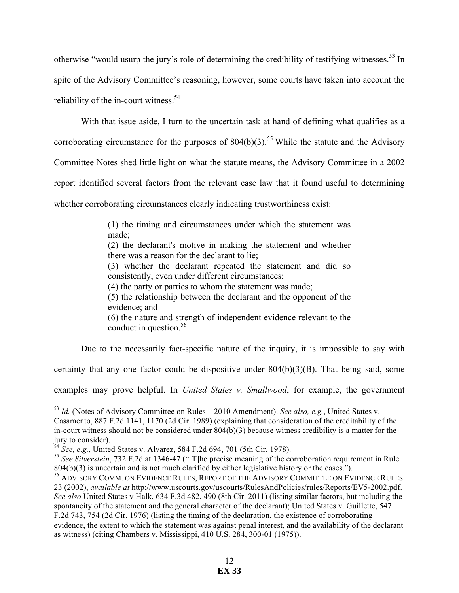otherwise "would usurp the jury's role of determining the credibility of testifying witnesses.<sup>53</sup> In spite of the Advisory Committee's reasoning, however, some courts have taken into account the reliability of the in-court witness.<sup>54</sup>

With that issue aside, I turn to the uncertain task at hand of defining what qualifies as a corroborating circumstance for the purposes of  $804(b)(3)$ .<sup>55</sup> While the statute and the Advisory Committee Notes shed little light on what the statute means, the Advisory Committee in a 2002 report identified several factors from the relevant case law that it found useful to determining whether corroborating circumstances clearly indicating trustworthiness exist:

> (1) the timing and circumstances under which the statement was made;

> (2) the declarant's motive in making the statement and whether there was a reason for the declarant to lie;

> (3) whether the declarant repeated the statement and did so consistently, even under different circumstances;

(4) the party or parties to whom the statement was made;

(5) the relationship between the declarant and the opponent of the evidence; and

(6) the nature and strength of independent evidence relevant to the conduct in question. $56$ 

Due to the necessarily fact-specific nature of the inquiry, it is impossible to say with

certainty that any one factor could be dispositive under  $804(b)(3)(B)$ . That being said, some

examples may prove helpful. In *United States v. Smallwood*, for example, the government

 <sup>53</sup> *Id.* (Notes of Advisory Committee on Rules—2010 Amendment). *See also, e.g.*, United States v. Casamento, 887 F.2d 1141, 1170 (2d Cir. 1989) (explaining that consideration of the creditability of the in-court witness should not be considered under 804(b)(3) because witness credibility is a matter for the jury to consider).

<sup>54</sup> *See, e.g.*, United States v. Alvarez, 584 F.2d 694, 701 (5th Cir. 1978).

<sup>&</sup>lt;sup>55</sup> See Silverstein, 732 F.2d at 1346-47 ("[T]he precise meaning of the corroboration requirement in Rule 804(b)(3) is uncertain and is not much clarified by either legislative history or the cases.").

<sup>&</sup>lt;sup>56</sup> ADVISORY COMM. ON EVIDENCE RULES, REPORT OF THE ADVISORY COMMITTEE ON EVIDENCE RULES 23 (2002), *available at* http://www.uscourts.gov/uscourts/RulesAndPolicies/rules/Reports/EV5-2002.pdf. *See also* United States v Halk, 634 F.3d 482, 490 (8th Cir. 2011) (listing similar factors, but including the spontaneity of the statement and the general character of the declarant); United States v. Guillette, 547 F.2d 743, 754 (2d Cir. 1976) (listing the timing of the declaration, the existence of corroborating evidence, the extent to which the statement was against penal interest, and the availability of the declarant as witness) (citing Chambers v. Mississippi, 410 U.S. 284, 300-01 (1975)).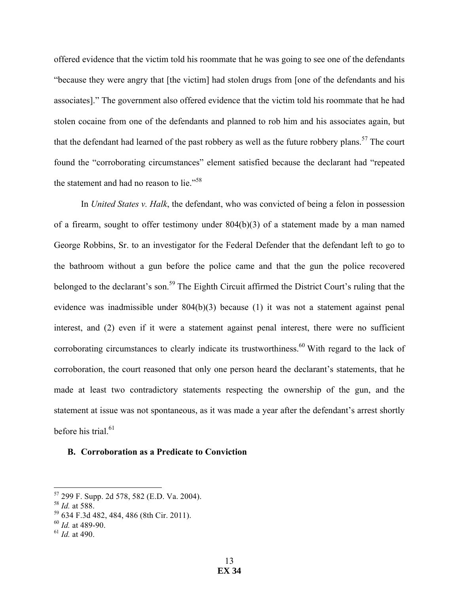offered evidence that the victim told his roommate that he was going to see one of the defendants "because they were angry that [the victim] had stolen drugs from [one of the defendants and his associates]." The government also offered evidence that the victim told his roommate that he had stolen cocaine from one of the defendants and planned to rob him and his associates again, but that the defendant had learned of the past robbery as well as the future robbery plans.<sup>57</sup> The court found the "corroborating circumstances" element satisfied because the declarant had "repeated the statement and had no reason to lie."<sup>58</sup>

In *United States v. Halk*, the defendant, who was convicted of being a felon in possession of a firearm, sought to offer testimony under 804(b)(3) of a statement made by a man named George Robbins, Sr. to an investigator for the Federal Defender that the defendant left to go to the bathroom without a gun before the police came and that the gun the police recovered belonged to the declarant's son.<sup>59</sup> The Eighth Circuit affirmed the District Court's ruling that the evidence was inadmissible under 804(b)(3) because (1) it was not a statement against penal interest, and (2) even if it were a statement against penal interest, there were no sufficient corroborating circumstances to clearly indicate its trustworthiness.<sup>60</sup> With regard to the lack of corroboration, the court reasoned that only one person heard the declarant's statements, that he made at least two contradictory statements respecting the ownership of the gun, and the statement at issue was not spontaneous, as it was made a year after the defendant's arrest shortly before his trial. $61$ 

### **B. Corroboration as a Predicate to Conviction**

 <sup>57</sup> 299 F. Supp. 2d 578, 582 (E.D. Va. 2004).

<sup>58</sup> *Id.* at 588.

<sup>59</sup> 634 F.3d 482, 484, 486 (8th Cir. 2011).

<sup>60</sup> *Id.* at 489-90.

<sup>61</sup> *Id.* at 490.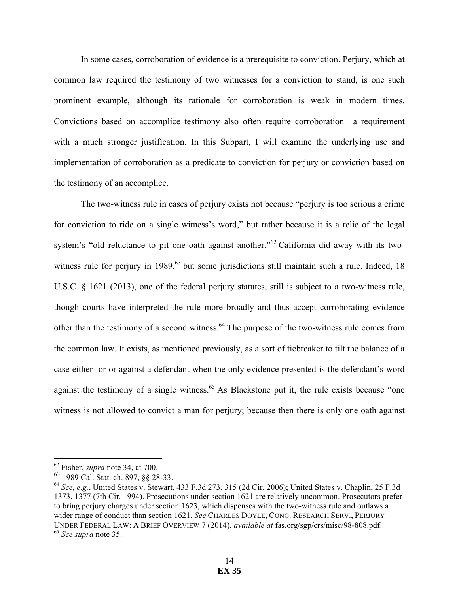In some cases, corroboration of evidence is a prerequisite to conviction. Perjury, which at common law required the testimony of two witnesses for a conviction to stand, is one such prominent example, although its rationale for corroboration is weak in modern times. Convictions based on accomplice testimony also often require corroboration—a requirement with a much stronger justification. In this Subpart, I will examine the underlying use and implementation of corroboration as a predicate to conviction for perjury or conviction based on the testimony of an accomplice.

The two-witness rule in cases of perjury exists not because "perjury is too serious a crime for conviction to ride on a single witness's word," but rather because it is a relic of the legal system's "old reluctance to pit one oath against another."<sup>62</sup> California did away with its twowitness rule for perjury in 1989,<sup>63</sup> but some jurisdictions still maintain such a rule. Indeed, 18 U.S.C. § 1621 (2013), one of the federal perjury statutes, still is subject to a two-witness rule, though courts have interpreted the rule more broadly and thus accept corroborating evidence other than the testimony of a second witness.<sup>64</sup> The purpose of the two-witness rule comes from the common law. It exists, as mentioned previously, as a sort of tiebreaker to tilt the balance of a case either for or against a defendant when the only evidence presented is the defendant's word against the testimony of a single witness.<sup>65</sup> As Blackstone put it, the rule exists because "one witness is not allowed to convict a man for perjury; because then there is only one oath against

 <sup>62</sup> Fisher, *supra* note 34, at 700.

<sup>63</sup> 1989 Cal. Stat. ch. 897, §§ 28-33.

<sup>64</sup> *See, e.g.*, United States v. Stewart, 433 F.3d 273, 315 (2d Cir. 2006); United States v. Chaplin, 25 F.3d 1373, 1377 (7th Cir. 1994). Prosecutions under section 1621 are relatively uncommon. Prosecutors prefer to bring perjury charges under section 1623, which dispenses with the two-witness rule and outlaws a wider range of conduct than section 1621. *See* CHARLES DOYLE, CONG. RESEARCH SERV., PERJURY UNDER FEDERAL LAW: A BRIEF OVERVIEW 7 (2014), *available at* fas.org/sgp/crs/misc/98-808.pdf. <sup>65</sup> *See supra* note 35.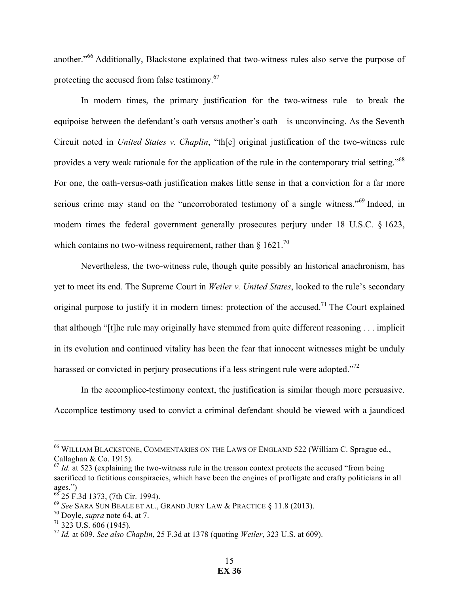another."<sup>66</sup> Additionally, Blackstone explained that two-witness rules also serve the purpose of protecting the accused from false testimony.<sup>67</sup>

In modern times, the primary justification for the two-witness rule—to break the equipoise between the defendant's oath versus another's oath—is unconvincing. As the Seventh Circuit noted in *United States v. Chaplin*, "th[e] original justification of the two-witness rule provides a very weak rationale for the application of the rule in the contemporary trial setting."<sup>68</sup> For one, the oath-versus-oath justification makes little sense in that a conviction for a far more serious crime may stand on the "uncorroborated testimony of a single witness."<sup>69</sup> Indeed, in modern times the federal government generally prosecutes perjury under 18 U.S.C. § 1623, which contains no two-witness requirement, rather than  $\frac{1}{2}$  1621.<sup>70</sup>

Nevertheless, the two-witness rule, though quite possibly an historical anachronism, has yet to meet its end. The Supreme Court in *Weiler v. United States*, looked to the rule's secondary original purpose to justify it in modern times: protection of the accused.<sup>71</sup> The Court explained that although "[t]he rule may originally have stemmed from quite different reasoning . . . implicit in its evolution and continued vitality has been the fear that innocent witnesses might be unduly harassed or convicted in perjury prosecutions if a less stringent rule were adopted."<sup>72</sup>

In the accomplice-testimony context, the justification is similar though more persuasive. Accomplice testimony used to convict a criminal defendant should be viewed with a jaundiced

 <sup>66</sup> WILLIAM BLACKSTONE, COMMENTARIES ON THE LAWS OF ENGLAND 522 (William C. Sprague ed., Callaghan & Co. 1915).

 $^{67}$  *Id.* at 523 (explaining the two-witness rule in the treason context protects the accused "from being" sacrificed to fictitious conspiracies, which have been the engines of profligate and crafty politicians in all ages.")

 $^{68}$  25 F.3d 1373, (7th Cir. 1994).

<sup>69</sup> *See* SARA SUN BEALE ET AL., GRAND JURY LAW & PRACTICE § 11.8 (2013).

<sup>70</sup> Doyle, *supra* note 64, at 7.

 $71$  323 U.S. 606 (1945).

<sup>72</sup> *Id.* at 609. *See also Chaplin*, 25 F.3d at 1378 (quoting *Weiler*, 323 U.S. at 609).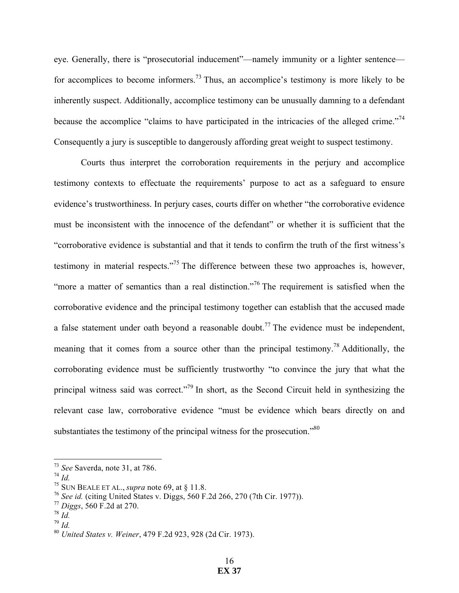eye. Generally, there is "prosecutorial inducement"—namely immunity or a lighter sentence for accomplices to become informers.<sup>73</sup> Thus, an accomplice's testimony is more likely to be inherently suspect. Additionally, accomplice testimony can be unusually damning to a defendant because the accomplice "claims to have participated in the intricacies of the alleged crime."<sup>74</sup> Consequently a jury is susceptible to dangerously affording great weight to suspect testimony.

Courts thus interpret the corroboration requirements in the perjury and accomplice testimony contexts to effectuate the requirements' purpose to act as a safeguard to ensure evidence's trustworthiness. In perjury cases, courts differ on whether "the corroborative evidence must be inconsistent with the innocence of the defendant" or whether it is sufficient that the "corroborative evidence is substantial and that it tends to confirm the truth of the first witness's testimony in material respects."75 The difference between these two approaches is, however, "more a matter of semantics than a real distinction."<sup>76</sup> The requirement is satisfied when the corroborative evidence and the principal testimony together can establish that the accused made a false statement under oath beyond a reasonable doubt.<sup>77</sup> The evidence must be independent, meaning that it comes from a source other than the principal testimony.<sup>78</sup> Additionally, the corroborating evidence must be sufficiently trustworthy "to convince the jury that what the principal witness said was correct."<sup>79</sup> In short, as the Second Circuit held in synthesizing the relevant case law, corroborative evidence "must be evidence which bears directly on and substantiates the testimony of the principal witness for the prosecution."<sup>80</sup>

<sup>74</sup> *Id.*

<sup>79</sup> *Id.*

 <sup>73</sup> *See* Saverda, note 31, at 786.

<sup>75</sup> SUN BEALE ET AL., *supra* note 69, at § 11.8.

<sup>76</sup> *See id.* (citing United States v. Diggs, 560 F.2d 266, 270 (7th Cir. 1977)).

<sup>77</sup> *Diggs*, 560 F.2d at 270.

<sup>78</sup> *Id.*

<sup>80</sup> *United States v. Weiner*, 479 F.2d 923, 928 (2d Cir. 1973).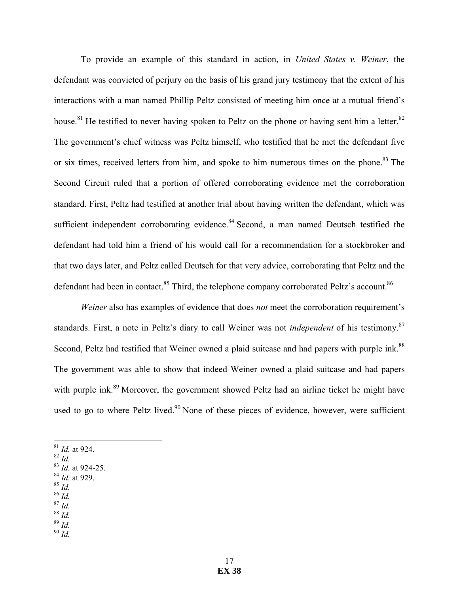To provide an example of this standard in action, in *United States v. Weiner*, the defendant was convicted of perjury on the basis of his grand jury testimony that the extent of his interactions with a man named Phillip Peltz consisted of meeting him once at a mutual friend's house.<sup>81</sup> He testified to never having spoken to Peltz on the phone or having sent him a letter.<sup>82</sup> The government's chief witness was Peltz himself, who testified that he met the defendant five or six times, received letters from him, and spoke to him numerous times on the phone.<sup>83</sup> The Second Circuit ruled that a portion of offered corroborating evidence met the corroboration standard. First, Peltz had testified at another trial about having written the defendant, which was sufficient independent corroborating evidence. $84$  Second, a man named Deutsch testified the defendant had told him a friend of his would call for a recommendation for a stockbroker and that two days later, and Peltz called Deutsch for that very advice, corroborating that Peltz and the defendant had been in contact.<sup>85</sup> Third, the telephone company corroborated Peltz's account.<sup>86</sup>

*Weiner* also has examples of evidence that does *not* meet the corroboration requirement's standards. First, a note in Peltz's diary to call Weiner was not *independent* of his testimony.<sup>87</sup> Second, Peltz had testified that Weiner owned a plaid suitcase and had papers with purple ink.<sup>88</sup> The government was able to show that indeed Weiner owned a plaid suitcase and had papers with purple ink.<sup>89</sup> Moreover, the government showed Peltz had an airline ticket he might have used to go to where Peltz lived.<sup>90</sup> None of these pieces of evidence, however, were sufficient

- 81 *Id.* at 924.
- <sup>82</sup> *Id.*
- <sup>83</sup> *Id.* at 924-25.
- <sup>84</sup> *Id.* at 929.
- <sup>85</sup> *Id.*
- <sup>86</sup> *Id.*
- <sup>87</sup> *Id.* <sup>88</sup> *Id.*
- <sup>89</sup> *Id.*
- <sup>90</sup> *Id.*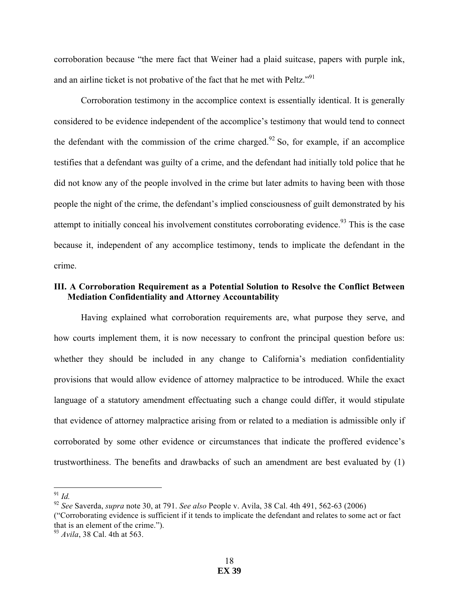corroboration because "the mere fact that Weiner had a plaid suitcase, papers with purple ink, and an airline ticket is not probative of the fact that he met with Peltz."<sup>91</sup>

Corroboration testimony in the accomplice context is essentially identical. It is generally considered to be evidence independent of the accomplice's testimony that would tend to connect the defendant with the commission of the crime charged.<sup>92</sup> So, for example, if an accomplice testifies that a defendant was guilty of a crime, and the defendant had initially told police that he did not know any of the people involved in the crime but later admits to having been with those people the night of the crime, the defendant's implied consciousness of guilt demonstrated by his attempt to initially conceal his involvement constitutes corroborating evidence.<sup>93</sup> This is the case because it, independent of any accomplice testimony, tends to implicate the defendant in the crime.

# **III. A Corroboration Requirement as a Potential Solution to Resolve the Conflict Between Mediation Confidentiality and Attorney Accountability**

Having explained what corroboration requirements are, what purpose they serve, and how courts implement them, it is now necessary to confront the principal question before us: whether they should be included in any change to California's mediation confidentiality provisions that would allow evidence of attorney malpractice to be introduced. While the exact language of a statutory amendment effectuating such a change could differ, it would stipulate that evidence of attorney malpractice arising from or related to a mediation is admissible only if corroborated by some other evidence or circumstances that indicate the proffered evidence's trustworthiness. The benefits and drawbacks of such an amendment are best evaluated by (1)

 <sup>91</sup> *Id.*

<sup>92</sup> *See* Saverda, *supra* note 30, at 791. *See also* People v. Avila, 38 Cal. 4th 491, 562-63 (2006) ("Corroborating evidence is sufficient if it tends to implicate the defendant and relates to some act or fact that is an element of the crime."). <sup>93</sup> *Avila*, 38 Cal. 4th at 563.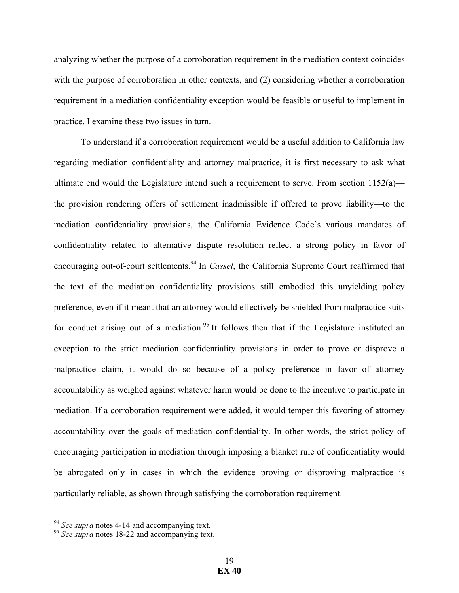analyzing whether the purpose of a corroboration requirement in the mediation context coincides with the purpose of corroboration in other contexts, and (2) considering whether a corroboration requirement in a mediation confidentiality exception would be feasible or useful to implement in practice. I examine these two issues in turn.

To understand if a corroboration requirement would be a useful addition to California law regarding mediation confidentiality and attorney malpractice, it is first necessary to ask what ultimate end would the Legislature intend such a requirement to serve. From section  $1152(a)$  the provision rendering offers of settlement inadmissible if offered to prove liability—to the mediation confidentiality provisions, the California Evidence Code's various mandates of confidentiality related to alternative dispute resolution reflect a strong policy in favor of encouraging out-of-court settlements.94 In *Cassel*, the California Supreme Court reaffirmed that the text of the mediation confidentiality provisions still embodied this unyielding policy preference, even if it meant that an attorney would effectively be shielded from malpractice suits for conduct arising out of a mediation.<sup>95</sup> It follows then that if the Legislature instituted an exception to the strict mediation confidentiality provisions in order to prove or disprove a malpractice claim, it would do so because of a policy preference in favor of attorney accountability as weighed against whatever harm would be done to the incentive to participate in mediation. If a corroboration requirement were added, it would temper this favoring of attorney accountability over the goals of mediation confidentiality. In other words, the strict policy of encouraging participation in mediation through imposing a blanket rule of confidentiality would be abrogated only in cases in which the evidence proving or disproving malpractice is particularly reliable, as shown through satisfying the corroboration requirement.

<sup>&</sup>lt;sup>94</sup> *See supra* notes 4-14 and accompanying text.

<sup>95</sup> *See supra* notes 18-22 and accompanying text.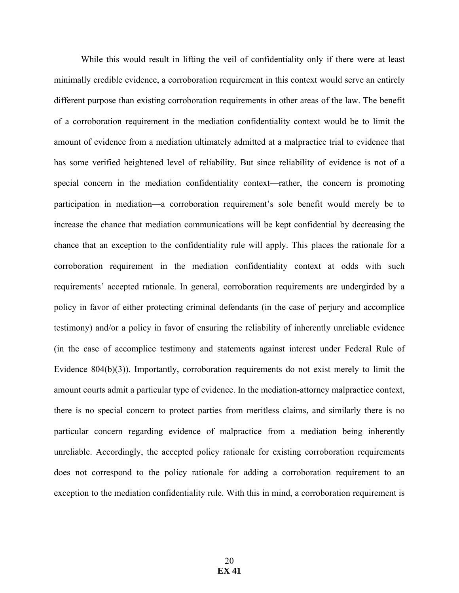While this would result in lifting the veil of confidentiality only if there were at least minimally credible evidence, a corroboration requirement in this context would serve an entirely different purpose than existing corroboration requirements in other areas of the law. The benefit of a corroboration requirement in the mediation confidentiality context would be to limit the amount of evidence from a mediation ultimately admitted at a malpractice trial to evidence that has some verified heightened level of reliability. But since reliability of evidence is not of a special concern in the mediation confidentiality context—rather, the concern is promoting participation in mediation—a corroboration requirement's sole benefit would merely be to increase the chance that mediation communications will be kept confidential by decreasing the chance that an exception to the confidentiality rule will apply. This places the rationale for a corroboration requirement in the mediation confidentiality context at odds with such requirements' accepted rationale. In general, corroboration requirements are undergirded by a policy in favor of either protecting criminal defendants (in the case of perjury and accomplice testimony) and/or a policy in favor of ensuring the reliability of inherently unreliable evidence (in the case of accomplice testimony and statements against interest under Federal Rule of Evidence 804(b)(3)). Importantly, corroboration requirements do not exist merely to limit the amount courts admit a particular type of evidence. In the mediation-attorney malpractice context, there is no special concern to protect parties from meritless claims, and similarly there is no particular concern regarding evidence of malpractice from a mediation being inherently unreliable. Accordingly, the accepted policy rationale for existing corroboration requirements does not correspond to the policy rationale for adding a corroboration requirement to an exception to the mediation confidentiality rule. With this in mind, a corroboration requirement is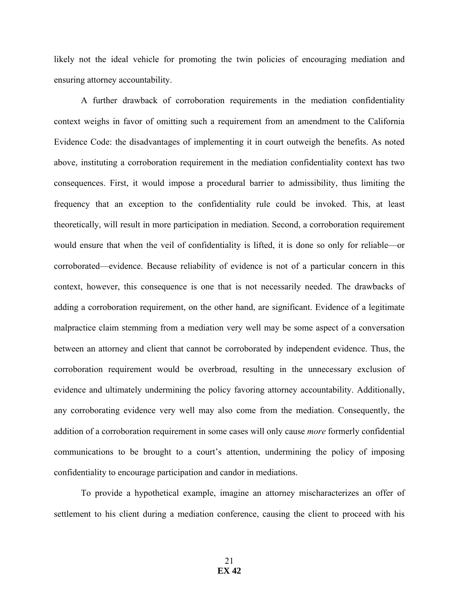likely not the ideal vehicle for promoting the twin policies of encouraging mediation and ensuring attorney accountability.

A further drawback of corroboration requirements in the mediation confidentiality context weighs in favor of omitting such a requirement from an amendment to the California Evidence Code: the disadvantages of implementing it in court outweigh the benefits. As noted above, instituting a corroboration requirement in the mediation confidentiality context has two consequences. First, it would impose a procedural barrier to admissibility, thus limiting the frequency that an exception to the confidentiality rule could be invoked. This, at least theoretically, will result in more participation in mediation. Second, a corroboration requirement would ensure that when the veil of confidentiality is lifted, it is done so only for reliable—or corroborated—evidence. Because reliability of evidence is not of a particular concern in this context, however, this consequence is one that is not necessarily needed. The drawbacks of adding a corroboration requirement, on the other hand, are significant. Evidence of a legitimate malpractice claim stemming from a mediation very well may be some aspect of a conversation between an attorney and client that cannot be corroborated by independent evidence. Thus, the corroboration requirement would be overbroad, resulting in the unnecessary exclusion of evidence and ultimately undermining the policy favoring attorney accountability. Additionally, any corroborating evidence very well may also come from the mediation. Consequently, the addition of a corroboration requirement in some cases will only cause *more* formerly confidential communications to be brought to a court's attention, undermining the policy of imposing confidentiality to encourage participation and candor in mediations.

To provide a hypothetical example, imagine an attorney mischaracterizes an offer of settlement to his client during a mediation conference, causing the client to proceed with his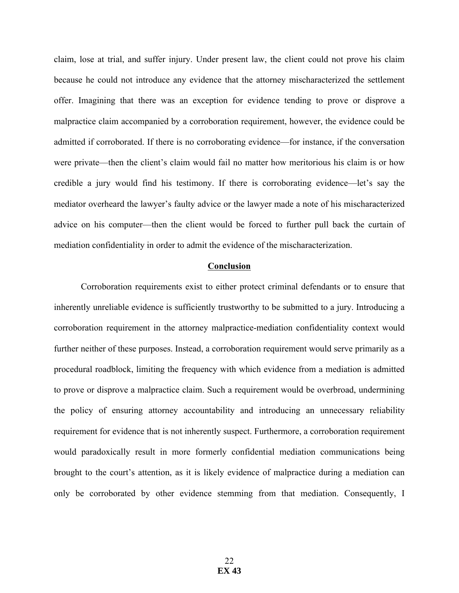claim, lose at trial, and suffer injury. Under present law, the client could not prove his claim because he could not introduce any evidence that the attorney mischaracterized the settlement offer. Imagining that there was an exception for evidence tending to prove or disprove a malpractice claim accompanied by a corroboration requirement, however, the evidence could be admitted if corroborated. If there is no corroborating evidence—for instance, if the conversation were private—then the client's claim would fail no matter how meritorious his claim is or how credible a jury would find his testimony. If there is corroborating evidence—let's say the mediator overheard the lawyer's faulty advice or the lawyer made a note of his mischaracterized advice on his computer—then the client would be forced to further pull back the curtain of mediation confidentiality in order to admit the evidence of the mischaracterization.

### **Conclusion**

Corroboration requirements exist to either protect criminal defendants or to ensure that inherently unreliable evidence is sufficiently trustworthy to be submitted to a jury. Introducing a corroboration requirement in the attorney malpractice-mediation confidentiality context would further neither of these purposes. Instead, a corroboration requirement would serve primarily as a procedural roadblock, limiting the frequency with which evidence from a mediation is admitted to prove or disprove a malpractice claim. Such a requirement would be overbroad, undermining the policy of ensuring attorney accountability and introducing an unnecessary reliability requirement for evidence that is not inherently suspect. Furthermore, a corroboration requirement would paradoxically result in more formerly confidential mediation communications being brought to the court's attention, as it is likely evidence of malpractice during a mediation can only be corroborated by other evidence stemming from that mediation. Consequently, I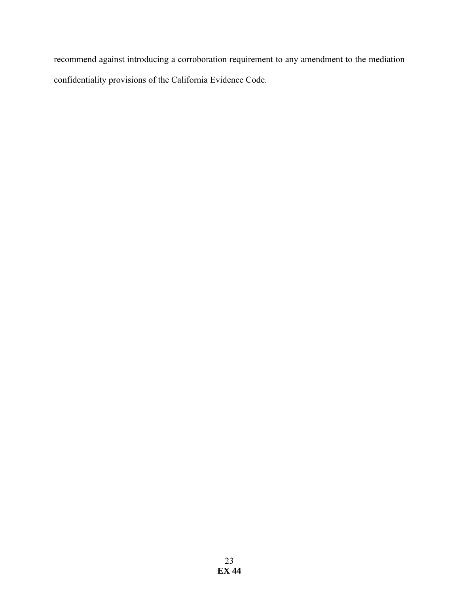recommend against introducing a corroboration requirement to any amendment to the mediation confidentiality provisions of the California Evidence Code.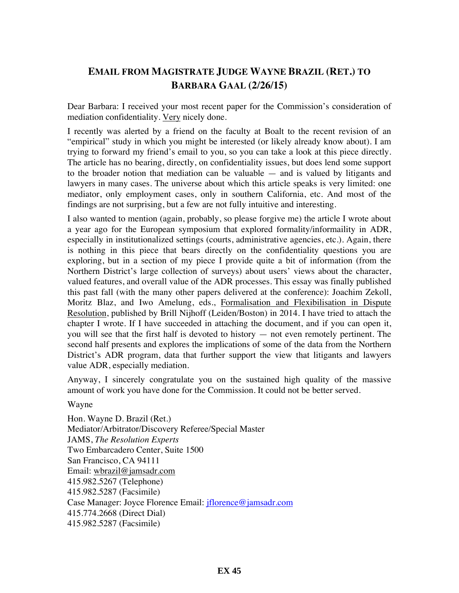# **EMAIL FROM MAGISTRATE JUDGE WAYNE BRAZIL (RET.) TO BARBARA GAAL (2/26/15)**

Dear Barbara: I received your most recent paper for the Commission's consideration of mediation confidentiality. Very nicely done.

I recently was alerted by a friend on the faculty at Boalt to the recent revision of an "empirical" study in which you might be interested (or likely already know about). I am trying to forward my friend's email to you, so you can take a look at this piece directly. The article has no bearing, directly, on confidentiality issues, but does lend some support to the broader notion that mediation can be valuable — and is valued by litigants and lawyers in many cases. The universe about which this article speaks is very limited: one mediator, only employment cases, only in southern California, etc. And most of the findings are not surprising, but a few are not fully intuitive and interesting.

I also wanted to mention (again, probably, so please forgive me) the article I wrote about a year ago for the European symposium that explored formality/informaility in ADR, especially in institutionalized settings (courts, administrative agencies, etc.). Again, there is nothing in this piece that bears directly on the confidentiality questions you are exploring, but in a section of my piece I provide quite a bit of information (from the Northern District's large collection of surveys) about users' views about the character, valued features, and overall value of the ADR processes. This essay was finally published this past fall (with the many other papers delivered at the conference): Joachim Zekoll, Moritz Blaz, and Iwo Amelung, eds., Formalisation and Flexibilisation in Dispute Resolution, published by Brill Nijhoff (Leiden/Boston) in 2014. I have tried to attach the chapter I wrote. If I have succeeded in attaching the document, and if you can open it, you will see that the first half is devoted to history — not even remotely pertinent. The second half presents and explores the implications of some of the data from the Northern District's ADR program, data that further support the view that litigants and lawyers value ADR, especially mediation.

Anyway, I sincerely congratulate you on the sustained high quality of the massive amount of work you have done for the Commission. It could not be better served.

Wayne

Hon. Wayne D. Brazil (Ret.) Mediator/Arbitrator/Discovery Referee/Special Master JAMS, *The Resolution Experts* Two Embarcadero Center, Suite 1500 San Francisco, CA 94111 Email: wbrazil@jamsadr.com 415.982.5267 (Telephone) 415.982.5287 (Facsimile) Case Manager: Joyce Florence Email: jflorence@jamsadr.com 415.774.2668 (Direct Dial) 415.982.5287 (Facsimile)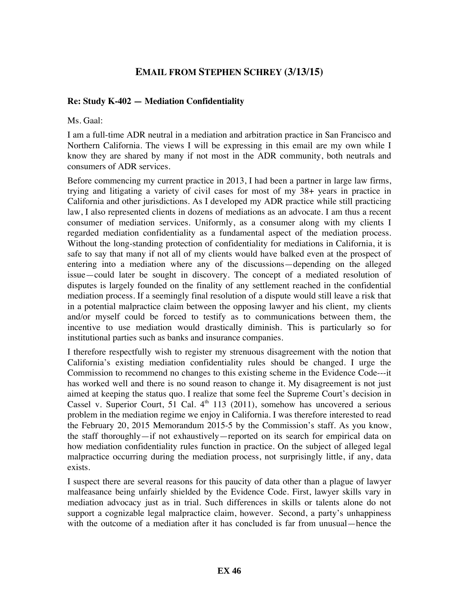# **EMAIL FROM STEPHEN SCHREY (3/13/15)**

# **Re: Study K-402 — Mediation Confidentiality**

Ms. Gaal:

I am a full-time ADR neutral in a mediation and arbitration practice in San Francisco and Northern California. The views I will be expressing in this email are my own while I know they are shared by many if not most in the ADR community, both neutrals and consumers of ADR services.

Before commencing my current practice in 2013, I had been a partner in large law firms, trying and litigating a variety of civil cases for most of my 38+ years in practice in California and other jurisdictions. As I developed my ADR practice while still practicing law, I also represented clients in dozens of mediations as an advocate. I am thus a recent consumer of mediation services. Uniformly, as a consumer along with my clients I regarded mediation confidentiality as a fundamental aspect of the mediation process. Without the long-standing protection of confidentiality for mediations in California, it is safe to say that many if not all of my clients would have balked even at the prospect of entering into a mediation where any of the discussions—depending on the alleged issue—could later be sought in discovery. The concept of a mediated resolution of disputes is largely founded on the finality of any settlement reached in the confidential mediation process. If a seemingly final resolution of a dispute would still leave a risk that in a potential malpractice claim between the opposing lawyer and his client, my clients and/or myself could be forced to testify as to communications between them, the incentive to use mediation would drastically diminish. This is particularly so for institutional parties such as banks and insurance companies.

I therefore respectfully wish to register my strenuous disagreement with the notion that California's existing mediation confidentiality rules should be changed. I urge the Commission to recommend no changes to this existing scheme in the Evidence Code---it has worked well and there is no sound reason to change it. My disagreement is not just aimed at keeping the status quo. I realize that some feel the Supreme Court's decision in Cassel v. Superior Court, 51 Cal.  $4<sup>th</sup>$  113 (2011), somehow has uncovered a serious problem in the mediation regime we enjoy in California. I was therefore interested to read the February 20, 2015 Memorandum 2015-5 by the Commission's staff. As you know, the staff thoroughly—if not exhaustively—reported on its search for empirical data on how mediation confidentiality rules function in practice. On the subject of alleged legal malpractice occurring during the mediation process, not surprisingly little, if any, data exists.

I suspect there are several reasons for this paucity of data other than a plague of lawyer malfeasance being unfairly shielded by the Evidence Code. First, lawyer skills vary in mediation advocacy just as in trial. Such differences in skills or talents alone do not support a cognizable legal malpractice claim, however. Second, a party's unhappiness with the outcome of a mediation after it has concluded is far from unusual—hence the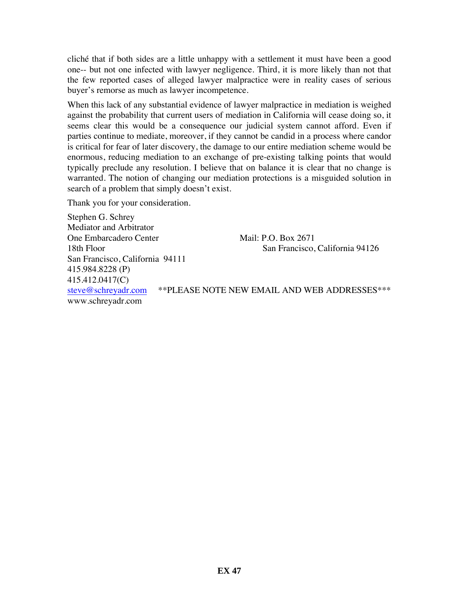cliché that if both sides are a little unhappy with a settlement it must have been a good one-- but not one infected with lawyer negligence. Third, it is more likely than not that the few reported cases of alleged lawyer malpractice were in reality cases of serious buyer's remorse as much as lawyer incompetence.

When this lack of any substantial evidence of lawyer malpractice in mediation is weighed against the probability that current users of mediation in California will cease doing so, it seems clear this would be a consequence our judicial system cannot afford. Even if parties continue to mediate, moreover, if they cannot be candid in a process where candor is critical for fear of later discovery, the damage to our entire mediation scheme would be enormous, reducing mediation to an exchange of pre-existing talking points that would typically preclude any resolution. I believe that on balance it is clear that no change is warranted. The notion of changing our mediation protections is a misguided solution in search of a problem that simply doesn't exist.

Thank you for your consideration.

Stephen G. Schrey Mediator and Arbitrator One Embarcadero Center Mail: P.O. Box 2671 18th Floor San Francisco, California 94126 San Francisco, California 94111 415.984.8228 (P) 415.412.0417(C) steve@schreyadr.com \*\*PLEASE NOTE NEW EMAIL AND WEB ADDRESSES\*\*\* www.schreyadr.com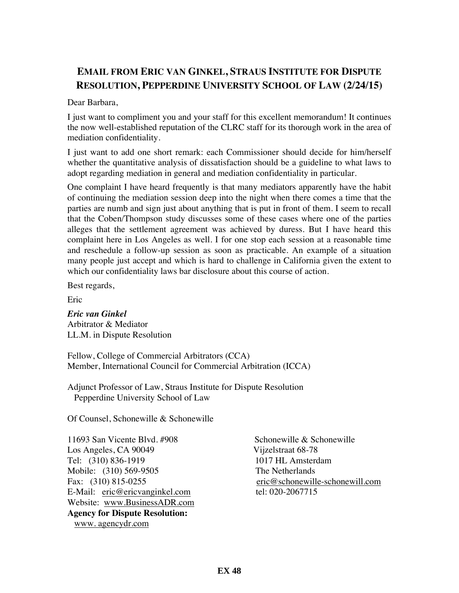# **EMAIL FROM ERIC VAN GINKEL, STRAUS INSTITUTE FOR DISPUTE RESOLUTION, PEPPERDINE UNIVERSITY SCHOOL OF LAW (2/24/15)**

Dear Barbara,

I just want to compliment you and your staff for this excellent memorandum! It continues the now well-established reputation of the CLRC staff for its thorough work in the area of mediation confidentiality.

I just want to add one short remark: each Commissioner should decide for him/herself whether the quantitative analysis of dissatisfaction should be a guideline to what laws to adopt regarding mediation in general and mediation confidentiality in particular.

One complaint I have heard frequently is that many mediators apparently have the habit of continuing the mediation session deep into the night when there comes a time that the parties are numb and sign just about anything that is put in front of them. I seem to recall that the Coben/Thompson study discusses some of these cases where one of the parties alleges that the settlement agreement was achieved by duress. But I have heard this complaint here in Los Angeles as well. I for one stop each session at a reasonable time and reschedule a follow-up session as soon as practicable. An example of a situation many people just accept and which is hard to challenge in California given the extent to which our confidentiality laws bar disclosure about this course of action.

Best regards,

Eric

*Eric van Ginkel* Arbitrator & Mediator LL.M. in Dispute Resolution

Fellow, College of Commercial Arbitrators (CCA) Member, International Council for Commercial Arbitration (ICCA)

Adjunct Professor of Law, Straus Institute for Dispute Resolution Pepperdine University School of Law

Of Counsel, Schonewille & Schonewille

11693 San Vicente Blvd. #908 Schonewille & Schonewille Los Angeles, CA 90049 Vijzelstraat 68-78 Tel: (310) 836-1919 1017 HL Amsterdam Mobile: (310) 569-9505 The Netherlands E-Mail: eric@ericvanginkel.com tel: 020-2067715 Website: www.BusinessADR.com **Agency for Dispute Resolution:** www. agencydr.com

Fax: (310) 815-0255 eric@schonewille-schonewill.com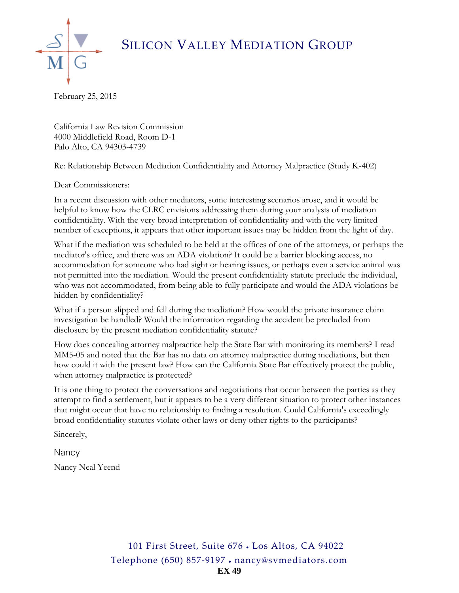SILICON VALLEY MEDIATION GROUP



February 25, 2015

California Law Revision Commission 4000 Middlefield Road, Room D-1 Palo Alto, CA 94303-4739

Re: Relationship Between Mediation Confidentiality and Attorney Malpractice (Study K-402)

Dear Commissioners:

In a recent discussion with other mediators, some interesting scenarios arose, and it would be helpful to know how the CLRC envisions addressing them during your analysis of mediation confidentiality. With the very broad interpretation of confidentiality and with the very limited number of exceptions, it appears that other important issues may be hidden from the light of day.

What if the mediation was scheduled to be held at the offices of one of the attorneys, or perhaps the mediator's office, and there was an ADA violation? It could be a barrier blocking access, no accommodation for someone who had sight or hearing issues, or perhaps even a service animal was not permitted into the mediation. Would the present confidentiality statute preclude the individual, who was not accommodated, from being able to fully participate and would the ADA violations be hidden by confidentiality?

What if a person slipped and fell during the mediation? How would the private insurance claim investigation be handled? Would the information regarding the accident be precluded from disclosure by the present mediation confidentiality statute?

How does concealing attorney malpractice help the State Bar with monitoring its members? I read MM5-05 and noted that the Bar has no data on attorney malpractice during mediations, but then how could it with the present law? How can the California State Bar effectively protect the public, when attorney malpractice is protected?

It is one thing to protect the conversations and negotiations that occur between the parties as they attempt to find a settlement, but it appears to be a very different situation to protect other instances that might occur that have no relationship to finding a resolution. Could California's exceedingly broad confidentiality statutes violate other laws or deny other rights to the participants?

Sincerely,

**Nancy** Nancy Neal Yeend